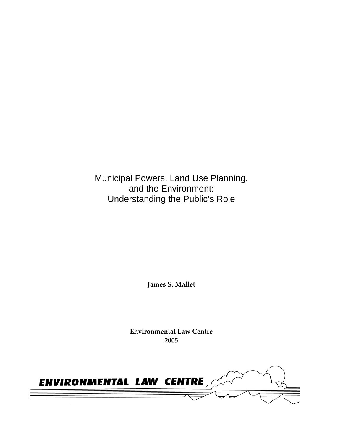Municipal Powers, Land Use Planning, and the Environment: Understanding the Public's Role

**James S. Mallet** 

**Environmental Law Centre 2005** 

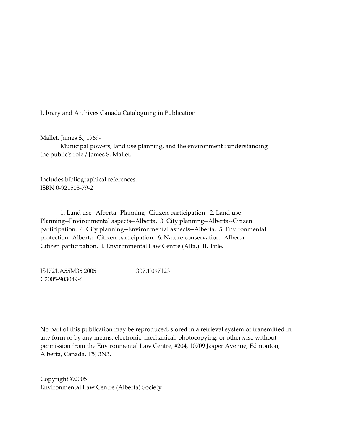Library and Archives Canada Cataloguing in Publication

Mallet, James S., 1969-

 Municipal powers, land use planning, and the environment : understanding the public's role / James S. Mallet.

Includes bibliographical references. ISBN 0-921503-79-2

 1. Land use--Alberta--Planning--Citizen participation. 2. Land use-- Planning--Environmental aspects--Alberta. 3. City planning--Alberta--Citizen participation. 4. City planning--Environmental aspects--Alberta. 5. Environmental protection--Alberta--Citizen participation. 6. Nature conservation--Alberta-- Citizen participation. I. Environmental Law Centre (Alta.) II. Title.

JS1721.A55M35 2005 307.1'097123 C2005-903049-6

No part of this publication may be reproduced, stored in a retrieval system or transmitted in any form or by any means, electronic, mechanical, photocopying, or otherwise without permission from the Environmental Law Centre, #204, 10709 Jasper Avenue, Edmonton, Alberta, Canada, T5J 3N3.

Copyright ©2005 Environmental Law Centre (Alberta) Society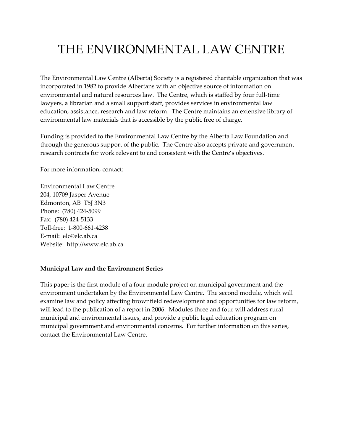# THE ENVIRONMENTAL LAW CENTRE

The Environmental Law Centre (Alberta) Society is a registered charitable organization that was incorporated in 1982 to provide Albertans with an objective source of information on environmental and natural resources law. The Centre, which is staffed by four full-time lawyers, a librarian and a small support staff, provides services in environmental law education, assistance, research and law reform. The Centre maintains an extensive library of environmental law materials that is accessible by the public free of charge.

Funding is provided to the Environmental Law Centre by the Alberta Law Foundation and through the generous support of the public. The Centre also accepts private and government research contracts for work relevant to and consistent with the Centre's objectives.

For more information, contact:

Environmental Law Centre 204, 10709 Jasper Avenue Edmonton, AB T5J 3N3 Phone: (780) 424-5099 Fax: (780) 424-5133 Toll-free: 1-800-661-4238 E-mail: elc@elc.ab.ca Website: http://www.elc.ab.ca

#### **Municipal Law and the Environment Series**

This paper is the first module of a four-module project on municipal government and the environment undertaken by the Environmental Law Centre. The second module, which will examine law and policy affecting brownfield redevelopment and opportunities for law reform, will lead to the publication of a report in 2006. Modules three and four will address rural municipal and environmental issues, and provide a public legal education program on municipal government and environmental concerns. For further information on this series, contact the Environmental Law Centre.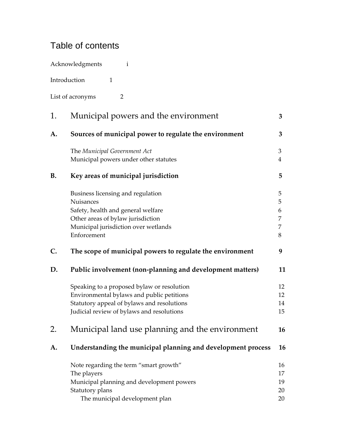# Table of contents

|              | Acknowledgments<br>$\mathbf{i}$                                                                                                                                                    |                            |
|--------------|------------------------------------------------------------------------------------------------------------------------------------------------------------------------------------|----------------------------|
| Introduction | $\mathbf{1}$                                                                                                                                                                       |                            |
|              | List of acronyms<br>$\overline{2}$                                                                                                                                                 |                            |
| 1.           | Municipal powers and the environment                                                                                                                                               | 3                          |
| A.           | Sources of municipal power to regulate the environment                                                                                                                             | 3                          |
|              | The Municipal Government Act<br>Municipal powers under other statutes                                                                                                              | 3<br>4                     |
| <b>B.</b>    | Key areas of municipal jurisdiction                                                                                                                                                | 5                          |
|              | Business licensing and regulation<br>Nuisances<br>Safety, health and general welfare<br>Other areas of bylaw jurisdiction<br>Municipal jurisdiction over wetlands<br>Enforcement   | 5<br>5<br>6<br>7<br>7<br>8 |
| C.           | The scope of municipal powers to regulate the environment                                                                                                                          | 9                          |
| D.           | Public involvement (non-planning and development matters)                                                                                                                          | 11                         |
|              | Speaking to a proposed bylaw or resolution<br>Environmental bylaws and public petitions<br>Statutory appeal of bylaws and resolutions<br>Judicial review of bylaws and resolutions | 12<br>12<br>14<br>15       |
| 2.           | Municipal land use planning and the environment                                                                                                                                    | 16                         |
| A.           | Understanding the municipal planning and development process                                                                                                                       | 16                         |
|              | Note regarding the term "smart growth"<br>The players<br>Municipal planning and development powers<br>Statutory plans<br>The municipal development plan                            | 16<br>17<br>19<br>20<br>20 |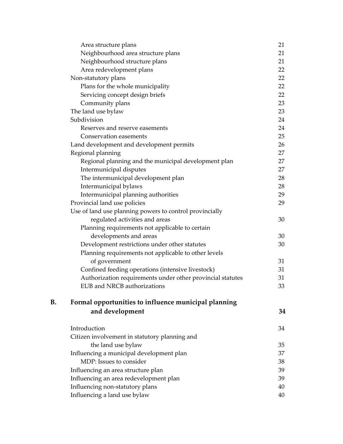|    | Area structure plans                                       | 21 |
|----|------------------------------------------------------------|----|
|    | Neighbourhood area structure plans                         | 21 |
|    | Neighbourhood structure plans                              | 21 |
|    | Area redevelopment plans                                   | 22 |
|    | Non-statutory plans                                        | 22 |
|    | Plans for the whole municipality                           | 22 |
|    | Servicing concept design briefs                            | 22 |
|    | Community plans                                            | 23 |
|    | The land use bylaw                                         | 23 |
|    | Subdivision                                                | 24 |
|    | Reserves and reserve easements                             | 24 |
|    | Conservation easements                                     | 25 |
|    | Land development and development permits                   | 26 |
|    | Regional planning                                          | 27 |
|    | Regional planning and the municipal development plan       | 27 |
|    | Intermunicipal disputes                                    | 27 |
|    | The intermunicipal development plan                        | 28 |
|    | Intermunicipal bylaws                                      | 28 |
|    | Intermunicipal planning authorities                        | 29 |
|    | Provincial land use policies                               | 29 |
|    | Use of land use planning powers to control provincially    |    |
|    | regulated activities and areas                             | 30 |
|    | Planning requirements not applicable to certain            |    |
|    | developments and areas                                     | 30 |
|    | Development restrictions under other statutes              | 30 |
|    | Planning requirements not applicable to other levels       |    |
|    | of government                                              | 31 |
|    | Confined feeding operations (intensive livestock)          | 31 |
|    | Authorization requirements under other provincial statutes | 31 |
|    | EUB and NRCB authorizations                                | 33 |
| B. | Formal opportunities to influence municipal planning       |    |
|    | and development                                            | 34 |
|    | Introduction                                               | 34 |
|    | Citizen involvement in statutory planning and              |    |
|    | the land use bylaw                                         | 35 |
|    | Influencing a municipal development plan                   | 37 |
|    | MDP: Issues to consider                                    | 38 |
|    | Influencing an area structure plan                         | 39 |
|    | Influencing an area redevelopment plan                     | 39 |
|    | Influencing non-statutory plans                            | 40 |
|    | Influencing a land use bylaw                               | 40 |
|    |                                                            |    |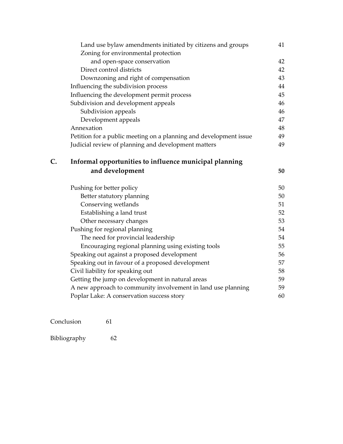|    | Land use bylaw amendments initiated by citizens and groups        | 41 |
|----|-------------------------------------------------------------------|----|
|    | Zoning for environmental protection                               |    |
|    | and open-space conservation                                       | 42 |
|    | Direct control districts                                          | 42 |
|    | Downzoning and right of compensation                              | 43 |
|    | Influencing the subdivision process                               | 44 |
|    | Influencing the development permit process                        | 45 |
|    | Subdivision and development appeals                               | 46 |
|    | Subdivision appeals                                               | 46 |
|    | Development appeals                                               | 47 |
|    | Annexation                                                        | 48 |
|    | Petition for a public meeting on a planning and development issue | 49 |
|    | Judicial review of planning and development matters               | 49 |
| C. | Informal opportunities to influence municipal planning            |    |
|    | and development                                                   | 50 |
|    | Pushing for better policy                                         | 50 |
|    | Better statutory planning                                         | 50 |
|    | Conserving wetlands                                               | 51 |
|    | Establishing a land trust                                         | 52 |
|    | Other necessary changes                                           | 53 |
|    | Pushing for regional planning                                     | 54 |
|    | The need for provincial leadership                                | 54 |
|    | Encouraging regional planning using existing tools                | 55 |
|    | Speaking out against a proposed development                       | 56 |
|    | Speaking out in favour of a proposed development                  | 57 |
|    | Civil liability for speaking out                                  | 58 |
|    | Getting the jump on development in natural areas                  | 59 |
|    | A new approach to community involvement in land use planning      | 59 |
|    | Poplar Lake: A conservation success story                         | 60 |
|    |                                                                   |    |

Conclusion 61

| Bibliography | 62 |
|--------------|----|
|--------------|----|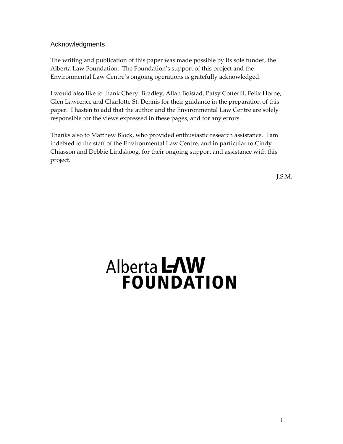# <span id="page-6-0"></span>Acknowledgments

The writing and publication of this paper was made possible by its sole funder, the Alberta Law Foundation. The Foundation's support of this project and the Environmental Law Centre's ongoing operations is gratefully acknowledged.

I would also like to thank Cheryl Bradley, Allan Bolstad, Patsy Cotterill, Felix Horne, Glen Lawrence and Charlotte St. Dennis for their guidance in the preparation of this paper. I hasten to add that the author and the Environmental Law Centre are solely responsible for the views expressed in these pages, and for any errors.

Thanks also to Matthew Block, who provided enthusiastic research assistance. I am indebted to the staff of the Environmental Law Centre, and in particular to Cindy Chiasson and Debbie Lindskoog, for their ongoing support and assistance with this project.

J.S.M.

# Alberta LAW **FOUNDATION**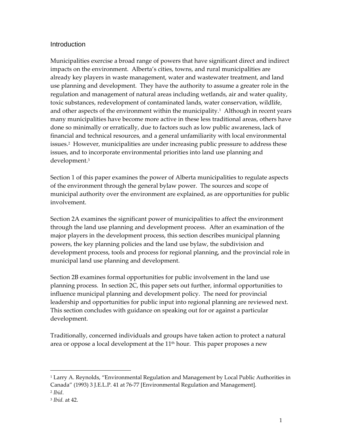## <span id="page-8-0"></span>**Introduction**

Municipalities exercise a broad range of powers that have significant direct and indirect impacts on the environment. Alberta's cities, towns, and rural municipalities are already key players in waste management, water and wastewater treatment, and land use planning and development. They have the authority to assume a greater role in the regulation and management of natural areas including wetlands, air and water quality, toxic substances, redevelopment of contaminated lands, water conservation, wildlife, and other aspects of the environment within the municipality. [1](#page-8-1) Although in recent years many municipalities have become more active in these less traditional areas, others have done so minimally or erratically, due to factors such as low public awareness, lack of financial and technical resources, and a general unfamiliarity with local environmental issues.<sup>2</sup> However, municipalities are under increasing public pressure to address these issues, and to incorporate environmental priorities into land use planning and development[.3](#page-8-3)

Section 1 of this paper examines the power of Alberta municipalities to regulate aspects of the environment through the general bylaw power. The sources and scope of municipal authority over the environment are explained, as are opportunities for public involvement.

Section 2A examines the significant power of municipalities to affect the environment through the land use planning and development process. After an examination of the major players in the development process, this section describes municipal planning powers, the key planning policies and the land use bylaw, the subdivision and development process, tools and process for regional planning, and the provincial role in municipal land use planning and development.

Section 2B examines formal opportunities for public involvement in the land use planning process. In section 2C, this paper sets out further, informal opportunities to influence municipal planning and development policy. The need for provincial leadership and opportunities for public input into regional planning are reviewed next. This section concludes with guidance on speaking out for or against a particular development.

Traditionally, concerned individuals and groups have taken action to protect a natural area or oppose a local development at the  $11<sup>th</sup>$  hour. This paper proposes a new

<span id="page-8-1"></span><sup>&</sup>lt;sup>1</sup> Larry A. Reynolds, "Environmental Regulation and Management by Local Public Authorities in Canada" (1993) 3 J.E.L.P. 41 at 76-77 [Environmental Regulation and Management].

<span id="page-8-2"></span><sup>2</sup> *Ibid*.

<span id="page-8-3"></span><sup>3</sup> *Ibid.* at 42.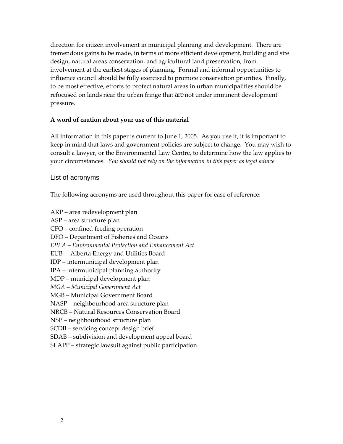<span id="page-9-0"></span>direction for citizen involvement in municipal planning and development. There are tremendous gains to be made, in terms of more efficient development, building and site design, natural areas conservation, and agricultural land preservation, from involvement at the earliest stages of planning. Formal and informal opportunities to influence council should be fully exercised to promote conservation priorities. Finally, to be most effective, efforts to protect natural areas in urban municipalities should be refocused on lands near the urban fringe that are not under imminent development pressure.

#### **A word of caution about your use of this material**

All information in this paper is current to June 1, 2005. As you use it, it is important to keep in mind that laws and government policies are subject to change. You may wish to consult a lawyer, or the Environmental Law Centre, to determine how the law applies to your circumstances. *You should not rely on the information in this paper as legal advice.* 

## List of acronyms

The following acronyms are used throughout this paper for ease of reference:

- ARP area redevelopment plan
- ASP area structure plan
- CFO confined feeding operation
- DFO Department of Fisheries and Oceans
- *EPEA Environmental Protection and Enhancement Act*
- EUB Alberta Energy and Utilities Board
- IDP intermunicipal development plan
- IPA intermunicipal planning authority
- MDP municipal development plan
- *MGA Municipal Government Act*
- MGB Municipal Government Board
- NASP neighbourhood area structure plan
- NRCB Natural Resources Conservation Board
- NSP neighbourhood structure plan
- SCDB servicing concept design brief
- SDAB subdivision and development appeal board
- SLAPP strategic lawsuit against public participation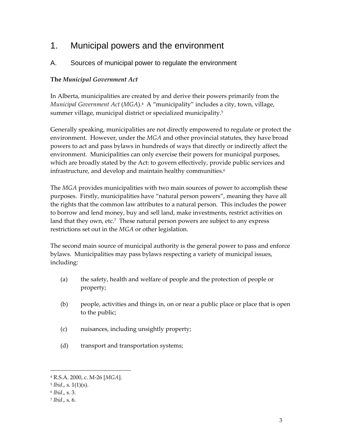# <span id="page-10-0"></span>1. Municipal powers and the environment

# A. Sources of municipal power to regulate the environment

# **The** *Municipal Government Act*

In Alberta, municipalities are created by and derive their powers primarily from the *Municipal Government Act* (*MGA*).[4](#page-10-1) A "municipality" includes a city, town, village, summer village, municipal district or specialized municipality.<sup>5</sup>

Generally speaking, municipalities are not directly empowered to regulate or protect the environment. However, under the *MGA* and other provincial statutes, they have broad powers to act and pass bylaws in hundreds of ways that directly or indirectly affect the environment. Municipalities can only exercise their powers for municipal purposes, which are broadly stated by the Act: to govern effectively, provide public services and infrastructure, and develop and maintain healthy communities.<sup>6</sup>

The *MGA* provides municipalities with two main sources of power to accomplish these purposes. Firstly, municipalities have "natural person powers", meaning they have all the rights that the common law attributes to a natural person. This includes the power to borrow and lend money, buy and sell land, make investments, restrict activities on land that they own, etc. $7$  These natural person powers are subject to any express restrictions set out in the *MGA* or other legislation.

The second main source of municipal authority is the general power to pass and enforce bylaws. Municipalities may pass bylaws respecting a variety of municipal issues, including:

- (a) the safety, health and welfare of people and the protection of people or property;
- (b) people, activities and things in, on or near a public place or place that is open to the public;
- (c) nuisances, including unsightly property;
- (d) transport and transportation systems;

<span id="page-10-1"></span><sup>4</sup> R.S.A. 2000, c. M-26 [*MGA*].

<span id="page-10-2"></span><sup>5</sup> *Ibid*., s. 1(1)(s).

<span id="page-10-3"></span><sup>6</sup> *Ibid*., s. 3.

<span id="page-10-4"></span><sup>7</sup> *Ibid*., s. 6.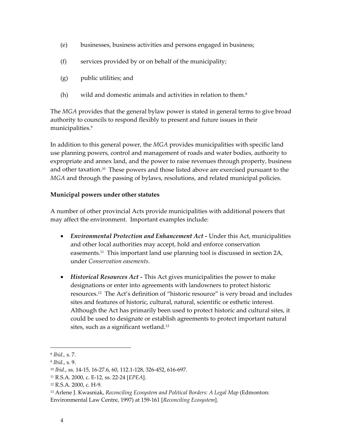- <span id="page-11-0"></span>(e) businesses, business activities and persons engaged in business;
- (f) services provided by or on behalf of the municipality;
- (g) public utilities; and
- (h) wild and domestic animals and activities in relation to them.[8](#page-11-1)

The *MGA* provides that the general bylaw power is stated in general terms to give broad authority to councils to respond flexibly to present and future issues in their municipalities[.9](#page-11-2) 

In addition to this general power, the *MGA* provides municipalities with specific land use planning powers, control and management of roads and water bodies, authority to expropriate and annex land, and the power to raise revenues through property, business and other taxation.[10](#page-11-3) These powers and those listed above are exercised pursuant to the *MGA* and through the passing of bylaws, resolutions, and related municipal policies.

# **Municipal powers under other statutes**

A number of other provincial Acts provide municipalities with additional powers that may affect the environment. Important examples include:

- *Environmental Protection and Enhancement Act* Under this Act, municipalities and other local authorities may accept, hold and enforce conservation easements[.11](#page-11-4) This important land use planning tool is discussed in section 2A, under *Conservation easements.*
- *Historical Resources Act* This Act gives municipalities the power to make designations or enter into agreements with landowners to protect historic resources.[12](#page-11-5) The Act's definition of "historic resource" is very broad and includes sites and features of historic, cultural, natural, scientific or esthetic interest. Although the Act has primarily been used to protect historic and cultural sites, it could be used to designate or establish agreements to protect important natural sites, such as a significant wetland. [13](#page-11-6)

<span id="page-11-1"></span><sup>8</sup> *Ibid.,* s. 7.

<span id="page-11-2"></span><sup>9</sup> *Ibid.*, s. 9.

<span id="page-11-3"></span><sup>10</sup> *Ibid.*, ss. 14-15, 16-27.6, 60, 112.1-128, 326-452, 616-697.

<span id="page-11-4"></span><sup>11</sup> R.S.A. 2000, c. E-12, ss. 22-24 [*EPEA*].

<span id="page-11-5"></span><sup>12</sup> R.S.A. 2000, c. H-9.

<span id="page-11-6"></span><sup>13</sup> Arlene J. Kwasniak, *Reconciling Ecosystem and Political Borders: A Legal Map* (Edmonton: Environmental Law Centre, 1997) at 159-161 [*Reconciling Ecosystem*].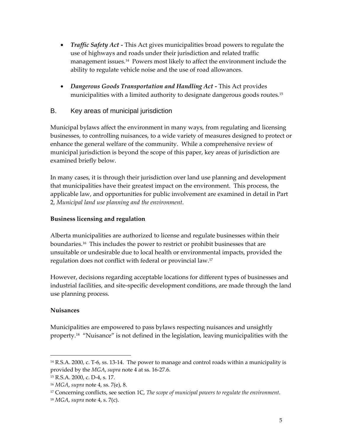- <span id="page-12-0"></span>• *Traffic Safety Act -* This Act gives municipalities broad powers to regulate the use of highways and roads under their jurisdiction and related traffic management issues[.14](#page-12-1) Powers most likely to affect the environment include the ability to regulate vehicle noise and the use of road allowances.
- *Dangerous Goods Transportation and Handling Act* This Act provides municipalities with a limited authority to designate dangerous goods routes.[15](#page-12-2)

# B. Key areas of municipal jurisdiction

Municipal bylaws affect the environment in many ways, from regulating and licensing businesses, to controlling nuisances, to a wide variety of measures designed to protect or enhance the general welfare of the community. While a comprehensive review of municipal jurisdiction is beyond the scope of this paper, key areas of jurisdiction are examined briefly below.

In many cases, it is through their jurisdiction over land use planning and development that municipalities have their greatest impact on the environment. This process, the applicable law, and opportunities for public involvement are examined in detail in Part 2, *Municipal land use planning and the environment*.

# **Business licensing and regulation**

Alberta municipalities are authorized to license and regulate businesses within their boundaries.[16](#page-12-3) This includes the power to restrict or prohibit businesses that are unsuitable or undesirable due to local health or environmental impacts, provided the regulation does not conflict with federal or provincial law.[17](#page-12-4) 

However, decisions regarding acceptable locations for different types of businesses and industrial facilities, and site-specific development conditions, are made through the land use planning process.

# **Nuisances**

 $\overline{a}$ 

Municipalities are empowered to pass bylaws respecting nuisances and unsightly property.[18](#page-12-5) "Nuisance" is not defined in the legislation, leaving municipalities with the

<span id="page-12-1"></span><sup>14</sup> R.S.A. 2000, c. T-6, ss. 13-14. The power to manage and control roads within a municipality is provided by the *MGA*, *supra* note 4 at ss. 16-27.6.

<span id="page-12-2"></span><sup>15</sup> R.S.A. 2000, c. D-4, s. 17.

<span id="page-12-3"></span><sup>16</sup> *MGA*, *supra* note 4, ss. 7(e), 8.

<span id="page-12-4"></span><sup>17</sup> Concerning conflicts, see section 1C, *The scope of municipal powers to regulate the environment.*

<span id="page-12-5"></span><sup>18</sup> *MGA*, *supra* note 4, s. 7(c).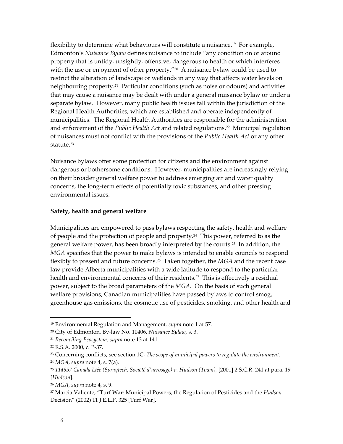<span id="page-13-0"></span>flexibility to determine what behaviours will constitute a nuisance.[19](#page-13-1) For example, Edmonton's *Nuisance Bylaw* defines nuisance to include "any condition on or around property that is untidy, unsightly, offensive, dangerous to health or which interferes with the use or enjoyment of other property."<sup>20</sup> A nuisance bylaw could be used to restrict the alteration of landscape or wetlands in any way that affects water levels on neighbouring property.[21](#page-13-3) Particular conditions (such as noise or odours) and activities that may cause a nuisance may be dealt with under a general nuisance bylaw or under a separate bylaw. However, many public health issues fall within the jurisdiction of the Regional Health Authorities, which are established and operate independently of municipalities. The Regional Health Authorities are responsible for the administration and enforcement of the *Public Health Act* and related regulations.[22](#page-13-4) Municipal regulation of nuisances must not conflict with the provisions of the *Public Health Act* or any other statute[.23](#page-13-5)

Nuisance bylaws offer some protection for citizens and the environment against dangerous or bothersome conditions. However, municipalities are increasingly relying on their broader general welfare power to address emerging air and water quality concerns, the long-term effects of potentially toxic substances, and other pressing environmental issues.

#### **Safety, health and general welfare**

Municipalities are empowered to pass bylaws respecting the safety, health and welfare of people and the protection of people and property.[24](#page-13-6) This power, referred to as the general welfare power, has been broadly interpreted by the courts.[25](#page-13-7) In addition, the *MGA* specifies that the power to make bylaws is intended to enable councils to respond flexibly to present and future concerns.[26](#page-13-8) Taken together, the *MGA* and the recent case law provide Alberta municipalities with a wide latitude to respond to the particular health and environmental concerns of their residents.<sup>27</sup> This is effectively a residual power, subject to the broad parameters of the *MGA*. On the basis of such general welfare provisions, Canadian municipalities have passed bylaws to control smog, greenhouse gas emissions, the cosmetic use of pesticides, smoking, and other health and

1

<span id="page-13-1"></span><sup>19</sup> Environmental Regulation and Management*, supra* note 1 at 57.

<span id="page-13-2"></span><sup>20</sup> City of Edmonton, By-law No. 10406, *Nuisance Bylaw*, s. 3.

<span id="page-13-3"></span><sup>21</sup> *Reconciling Ecosystem, supra* note 13 at 141.

<span id="page-13-4"></span><sup>22</sup> R.S.A. 2000, c. P-37.

<span id="page-13-5"></span><sup>23</sup> Concerning conflicts, see section 1C, *The scope of municipal powers to regulate the environment.*

<span id="page-13-6"></span><sup>24</sup> *MGA*, *supra* note 4, s. 7(a).

<span id="page-13-7"></span><sup>25</sup> *114957 Canada Ltée (Spraytech, Société d'arrosage) v. Hudson (Town),* [2001] 2 S.C.R. 241 at para. 19 [*Hudson*].

<span id="page-13-8"></span><sup>26</sup> *MGA*, *supra* note 4, s. 9.

<span id="page-13-9"></span><sup>27</sup> Marcia Valiente, "Turf War: Municipal Powers, the Regulation of Pesticides and the *Hudson* Decision" (2002) 11 J.E.L.P. 325 [Turf War].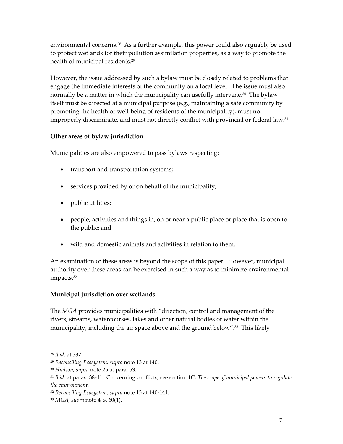<span id="page-14-0"></span>environmental concerns.<sup>28</sup> As a further example, this power could also arguably be used to protect wetlands for their pollution assimilation properties, as a way to promote the health of municipal residents.<sup>29</sup>

However, the issue addressed by such a bylaw must be closely related to problems that engage the immediate interests of the community on a local level. The issue must also normally be a matter in which the municipality can usefully intervene.<sup>30</sup> The bylaw itself must be directed at a municipal purpose (e.g., maintaining a safe community by promoting the health or well-being of residents of the municipality), must not improperly discriminate, and must not directly conflict with provincial or federal law.<sup>31</sup>

# **Other areas of bylaw jurisdiction**

Municipalities are also empowered to pass bylaws respecting:

- transport and transportation systems;
- services provided by or on behalf of the municipality;
- public utilities;
- people, activities and things in, on or near a public place or place that is open to the public; and
- wild and domestic animals and activities in relation to them.

An examination of these areas is beyond the scope of this paper. However, municipal authority over these areas can be exercised in such a way as to minimize environmental impacts.[32](#page-14-5)

# **Municipal jurisdiction over wetlands**

The *MGA* provides municipalities with "direction, control and management of the rivers, streams, watercourses, lakes and other natural bodies of water within the municipality, including the air space above and the ground below".<sup>33</sup> This likely

<span id="page-14-1"></span><sup>28</sup> *Ibid*. at 337.

<span id="page-14-2"></span><sup>29</sup> *Reconciling Ecosystem, supra* note 13 at 140.

<span id="page-14-3"></span><sup>30</sup> *Hudson, supra* note 25 at para. 53.

<span id="page-14-4"></span><sup>31</sup> *Ibid*. at paras. 38-41. Concerning conflicts, see section 1C, *The scope of municipal powers to regulate the environment.*

<span id="page-14-5"></span><sup>32</sup> *Reconciling Ecosystem, supra* note 13 at 140-141.

<span id="page-14-6"></span><sup>33</sup> *MGA*, *supra* note 4, s. 60(1).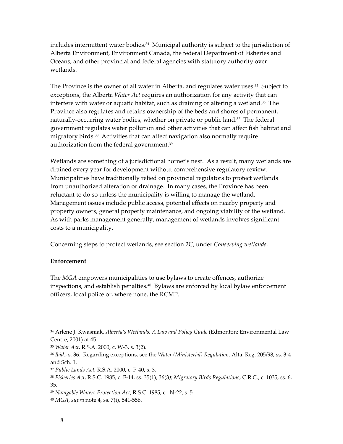<span id="page-15-0"></span>includes intermittent water bodies.<sup>34</sup> Municipal authority is subject to the jurisdiction of Alberta Environment, Environment Canada, the federal Department of Fisheries and Oceans, and other provincial and federal agencies with statutory authority over wetlands.

The Province is the owner of all water in Alberta, and regulates water uses.<sup>35</sup> Subject to exceptions, the Alberta *Water Act* requires an authorization for any activity that can interfere with water or aquatic habitat, such as draining or altering a wetland.<sup>36</sup> The Province also regulates and retains ownership of the beds and shores of permanent, naturally-occurring water bodies, whether on private or public land.<sup>37</sup> The federal government regulates water pollution and other activities that can affect fish habitat and migratory birds.[38](#page-15-5) Activities that can affect navigation also normally require authorization from the federal government.[39](#page-15-6)

Wetlands are something of a jurisdictional hornet's nest. As a result, many wetlands are drained every year for development without comprehensive regulatory review. Municipalities have traditionally relied on provincial regulators to protect wetlands from unauthorized alteration or drainage. In many cases, the Province has been reluctant to do so unless the municipality is willing to manage the wetland. Management issues include public access, potential effects on nearby property and property owners, general property maintenance, and ongoing viability of the wetland. As with parks management generally, management of wetlands involves significant costs to a municipality.

Concerning steps to protect wetlands, see section 2C, under *Conserving wetlands*.

#### **Enforcement**

The *MGA* empowers municipalities to use bylaws to create offences, authorize inspections, and establish penalties[.40](#page-15-7) Bylaws are enforced by local bylaw enforcement officers, local police or, where none, the RCMP.

1

<span id="page-15-1"></span><sup>34</sup> Arlene J. Kwasniak, *Alberta's Wetlands: A Law and Policy Guide* (Edmonton: Environmental Law Centre, 2001) at 45.

<span id="page-15-2"></span><sup>35</sup> *Water Act*, R.S.A. 2000, c. W-3, s. 3(2).

<span id="page-15-3"></span><sup>36</sup> *Ibid.*, s. 36. Regarding exceptions, see the *Water (Ministerial) Regulation,* Alta. Reg. 205/98, ss. 3-4 and Sch. 1.

<span id="page-15-4"></span><sup>37</sup> *Public Lands Act,* R.S.A. 2000, c. P-40, s. 3.

<span id="page-15-5"></span><sup>38</sup> *Fisheries Act*, R.S.C. 1985, c. F-14, ss. 35(1), 36(3*); Migratory Birds Regulations*, C.R.C., c. 1035, ss. 6, 35.

<span id="page-15-6"></span><sup>39</sup> *Navigable Waters Protection Act*, R.S.C. 1985, c. N-22, s. 5.

<span id="page-15-7"></span><sup>40</sup> *MGA*, *supra* note 4, ss. 7(i), 541-556.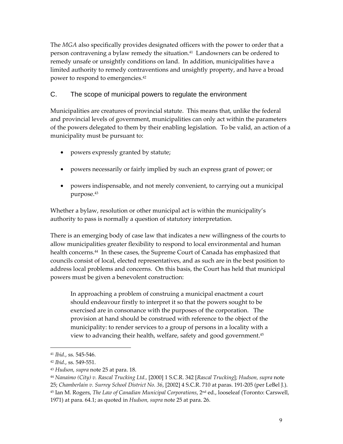<span id="page-16-0"></span>The *MGA* also specifically provides designated officers with the power to order that a person contravening a bylaw remedy the situation[.41](#page-16-1) Landowners can be ordered to remedy unsafe or unsightly conditions on land. In addition, municipalities have a limited authority to remedy contraventions and unsightly property, and have a broad power to respond to emergencies.[42](#page-16-2)

# C. The scope of municipal powers to regulate the environment

Municipalities are creatures of provincial statute. This means that, unlike the federal and provincial levels of government, municipalities can only act within the parameters of the powers delegated to them by their enabling legislation. To be valid, an action of a municipality must be pursuant to:

- powers expressly granted by statute;
- powers necessarily or fairly implied by such an express grant of power; or
- powers indispensable, and not merely convenient, to carrying out a municipal purpose.[43](#page-16-3)

Whether a bylaw, resolution or other municipal act is within the municipality's authority to pass is normally a question of statutory interpretation.

There is an emerging body of case law that indicates a new willingness of the courts to allow municipalities greater flexibility to respond to local environmental and human health concerns.[44](#page-16-4) In these cases, the Supreme Court of Canada has emphasized that councils consist of local, elected representatives, and as such are in the best position to address local problems and concerns. On this basis, the Court has held that municipal powers must be given a benevolent construction:

In approaching a problem of construing a municipal enactment a court should endeavour firstly to interpret it so that the powers sought to be exercised are in consonance with the purposes of the corporation. The provision at hand should be construed with reference to the object of the municipality: to render services to a group of persons in a locality with a view to advancing their health, welfare, safety and good government.[45](#page-16-5)

<span id="page-16-1"></span><sup>41</sup> *Ibid.*, ss. 545-546.

<span id="page-16-2"></span><sup>42</sup> *Ibid*., ss. 549-551.

<span id="page-16-3"></span><sup>43</sup> *Hudson, supra* note 25 at para. 18.

<span id="page-16-5"></span><span id="page-16-4"></span><sup>44</sup> *Nanaimo (City) v. Rascal Trucking Ltd.,* [2000] 1 S.C.R. 342 [*Rascal Trucking*]; *Hudson, supra* note 25; *Chamberlain v. Surrey School District No. 36*, [2002] 4 S.C.R. 710 at paras. 191-205 (per LeBel J.). <sup>45</sup> Ian M. Rogers, *The Law of Canadian Municipal Corporations*, 2nd ed., looseleaf (Toronto: Carswell, 1971) at para. 64.1; as quoted in *Hudson, supra* note 25 at para. 26.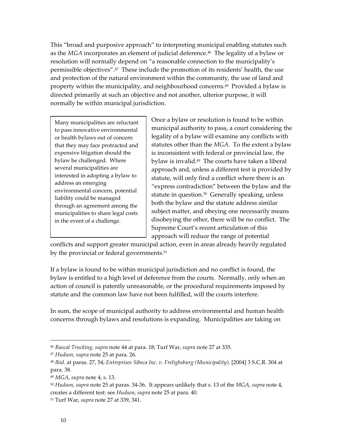This "broad and purposive approach" to interpreting municipal enabling statutes such as the *MGA* incorporates an element of judicial deference.<sup>46</sup> The legality of a bylaw or resolution will normally depend on "a reasonable connection to the municipality's permissible objectives".[47](#page-17-1) These include the promotion of its residents' health, the use and protection of the natural environment within the community, the use of land and property within the municipality, and neighbourhood concerns.<sup>48</sup> Provided a bylaw is directed primarily at such an objective and not another, ulterior purpose, it will normally be within municipal jurisdiction.

Many municipalities are reluctant to pass innovative environmental or health bylaws out of concern that they may face protracted and expensive litigation should the bylaw be challenged. Where several municipalities are interested in adopting a bylaw to address an emerging environmental concern, potential liability could be managed through an agreement among the municipalities to share legal costs in the event of a challenge.

Once a bylaw or resolution is found to be within municipal authority to pass, a court considering the legality of a bylaw will examine any conflicts with statutes other than the *MGA*. To the extent a bylaw is inconsistent with federal or provincial law, the bylaw is invalid.<sup>49</sup> The courts have taken a liberal approach and, unless a different test is provided by statute, will only find a conflict where there is an "express contradiction" between the bylaw and the statute in question.<sup>50</sup> Generally speaking, unless both the bylaw and the statute address similar subject matter, and obeying one necessarily means disobeying the other, there will be no conflict. The Supreme Court's recent articulation of this approach will reduce the range of potential

conflicts and support greater municipal action, even in areas already heavily regulated by the provincial or federal governments.<sup>[51](#page-17-5)</sup>

If a bylaw is found to be within municipal jurisdiction and no conflict is found, the bylaw is entitled to a high level of deference from the courts. Normally, only when an action of council is patently unreasonable, or the procedural requirements imposed by statute and the common law have not been fulfilled, will the courts interfere.

In sum, the scope of municipal authority to address environmental and human health concerns through bylaws and resolutions is expanding. Municipalities are taking on

<span id="page-17-0"></span><sup>46</sup> *Rascal Trucking, supra* note 44 at para. 18; Turf War, *supra* note 27 at 335.

<span id="page-17-1"></span><sup>47</sup> *Hudson, supra* note 25 at para. 26.

<span id="page-17-2"></span><sup>48</sup> *Ibid.* at paras. 27, 54; *Entreprises Sibeca Inc. v. Frelighsburg (Municipality),* [2004] 3 S.C.R. 304 at para. 38.

<span id="page-17-3"></span><sup>49</sup> *MGA*, *supra* note 4, s. 13.

<span id="page-17-4"></span><sup>50</sup> *Hudson, supra* note 25 at paras. 34-36. It appears unlikely that s. 13 of the *MGA*, *supra* note 4, creates a different test: see *Hudson, supra* note 25 at para. 40.

<span id="page-17-5"></span><sup>51</sup> Turf War, *supra* note 27 at 339, 341.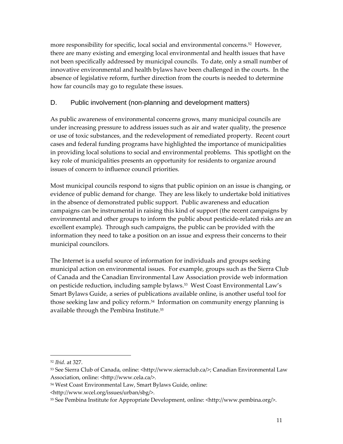<span id="page-18-0"></span>more responsibility for specific, local social and environmental concerns.<sup>52</sup> However, there are many existing and emerging local environmental and health issues that have not been specifically addressed by municipal councils. To date, only a small number of innovative environmental and health bylaws have been challenged in the courts. In the absence of legislative reform, further direction from the courts is needed to determine how far councils may go to regulate these issues.

# D. Public involvement (non-planning and development matters)

As public awareness of environmental concerns grows, many municipal councils are under increasing pressure to address issues such as air and water quality, the presence or use of toxic substances, and the redevelopment of remediated property. Recent court cases and federal funding programs have highlighted the importance of municipalities in providing local solutions to social and environmental problems. This spotlight on the key role of municipalities presents an opportunity for residents to organize around issues of concern to influence council priorities.

Most municipal councils respond to signs that public opinion on an issue is changing, or evidence of public demand for change. They are less likely to undertake bold initiatives in the absence of demonstrated public support. Public awareness and education campaigns can be instrumental in raising this kind of support (the recent campaigns by environmental and other groups to inform the public about pesticide-related risks are an excellent example). Through such campaigns, the public can be provided with the information they need to take a position on an issue and express their concerns to their municipal councilors.

The Internet is a useful source of information for individuals and groups seeking municipal action on environmental issues. For example, groups such as the Sierra Club of Canada and the Canadian Environmental Law Association provide web information on pesticide reduction, including sample bylaws.[53](#page-18-2) West Coast Environmental Law's Smart Bylaws Guide, a series of publications available online, is another useful tool for those seeking law and policy reform. [54](#page-18-3) Information on community energy planning is available through the Pembina Institute.[55](#page-18-4)

<span id="page-18-1"></span><sup>52</sup> *Ibid*. at 327.

<span id="page-18-2"></span><sup>53</sup> See Sierra Club of Canada, online: <http://www.sierraclub.ca/>; Canadian Environmental Law Association, online: <http://www.cela.ca/>.

<span id="page-18-3"></span><sup>54</sup> West Coast Environmental Law, Smart Bylaws Guide, online:

<sup>&</sup>lt;http://www.wcel.org/issues/urban/sbg/>.

<span id="page-18-4"></span><sup>55</sup> See Pembina Institute for Appropriate Development, online: <http://www.pembina.org/>.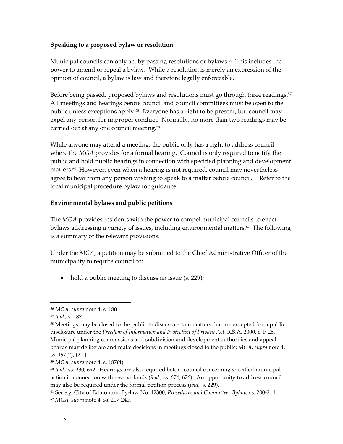#### <span id="page-19-0"></span>**Speaking to a proposed bylaw or resolution**

Municipal councils can only act by passing resolutions or bylaws.<sup>56</sup> This includes the power to amend or repeal a bylaw. While a resolution is merely an expression of the opinion of council, a bylaw is law and therefore legally enforceable.

Before being passed, proposed bylaws and resolutions must go through three readings.<sup>57</sup> All meetings and hearings before council and council committees must be open to the public unless exceptions apply[.58](#page-19-3) Everyone has a right to be present, but council may expel any person for improper conduct. Normally, no more than two readings may be carried out at any one council meeting.[59](#page-19-4) 

While anyone may attend a meeting, the public only has a right to address council where the *MGA* provides for a formal hearing. Council is only required to notify the public and hold public hearings in connection with specified planning and development matters.[60](#page-19-5) However, even when a hearing is not required, council may nevertheless agree to hear from any person wishing to speak to a matter before council.<sup>61</sup> Refer to the local municipal procedure bylaw for guidance.

## **Environmental bylaws and public petitions**

The *MGA* provides residents with the power to compel municipal councils to enact bylaws addressing a variety of issues, including environmental matters.<sup>62</sup> The following is a summary of the relevant provisions.

Under the *MGA*, a petition may be submitted to the Chief Administrative Officer of the municipality to require council to:

• hold a public meeting to discuss an issue (s. 229);

1

<span id="page-19-3"></span><sup>58</sup> Meetings may be closed to the public to discuss certain matters that are excepted from public disclosure under the *Freedom of Information and Protection of Privacy Act*, R.S.A. 2000, c. F-25. Municipal planning commissions and subdivision and development authorities and appeal boards may deliberate and make decisions in meetings closed to the public: *MGA*, *supra* note 4, ss. 197(2), (2.1).

<span id="page-19-1"></span><sup>56</sup> *MGA*, *supra* note 4, s. 180.

<span id="page-19-2"></span><sup>57</sup> *Ibid.,* s. 187.

<span id="page-19-4"></span><sup>59</sup> *MGA*, *supra* note 4, s. 187(4).

<span id="page-19-5"></span><sup>60</sup> *Ibid.*, ss. 230, 692. Hearings are also required before council concerning specified municipal action in connection with reserve lands (*ibid.,* ss. 674, 676). An opportunity to address council may also be required under the formal petition process (*ibid.*, s. 229).

<span id="page-19-7"></span><span id="page-19-6"></span><sup>61</sup> See *e.g.* City of Edmonton, By-law No. 12300, *Procedures and Committees Bylaw,* ss. 200-214. <sup>62</sup> *MGA*, *supra* note 4, ss. 217-240.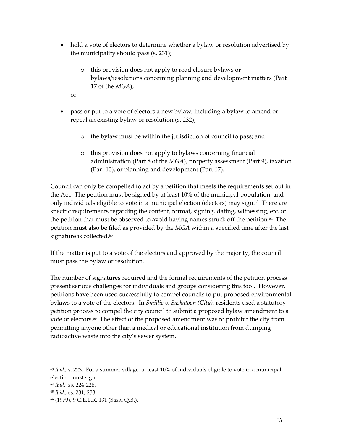- hold a vote of electors to determine whether a bylaw or resolution advertised by the municipality should pass (s. 231);
	- o this provision does not apply to road closure bylaws or bylaws/resolutions concerning planning and development matters (Part 17 of the *MGA*);
	- or
- pass or put to a vote of electors a new bylaw, including a bylaw to amend or repeal an existing bylaw or resolution (s. 232);
	- o the bylaw must be within the jurisdiction of council to pass; and
	- o this provision does not apply to bylaws concerning financial administration (Part 8 of the *MGA*), property assessment (Part 9), taxation (Part 10), or planning and development (Part 17).

Council can only be compelled to act by a petition that meets the requirements set out in the Act. The petition must be signed by at least 10% of the municipal population, and only individuals eligible to vote in a municipal election (electors) may sign. [63](#page-20-0) There are specific requirements regarding the content, format, signing, dating, witnessing, etc. of the petition that must be observed to avoid having names struck off the petition.<sup>64</sup> The petition must also be filed as provided by the *MGA* within a specified time after the last signature is collected.<sup>[65](#page-20-2)</sup>

If the matter is put to a vote of the electors and approved by the majority, the council must pass the bylaw or resolution.

The number of signatures required and the formal requirements of the petition process present serious challenges for individuals and groups considering this tool. However, petitions have been used successfully to compel councils to put proposed environmental bylaws to a vote of the electors. In *Smillie v. Saskatoon (City)*, residents used a statutory petition process to compel the city council to submit a proposed bylaw amendment to a vote of electors.<sup>66</sup> The effect of the proposed amendment was to prohibit the city from permitting anyone other than a medical or educational institution from dumping radioactive waste into the city's sewer system.

<span id="page-20-0"></span><sup>63</sup> *Ibid.,* s. 223. For a summer village, at least 10% of individuals eligible to vote in a municipal election must sign.

<span id="page-20-1"></span><sup>64</sup> *Ibid.,* ss. 224-226.

<span id="page-20-2"></span><sup>65</sup> *Ibid.,* ss. 231, 233.

<span id="page-20-3"></span><sup>66 (1979), 9</sup> C.E.L.R. 131 (Sask. Q.B.).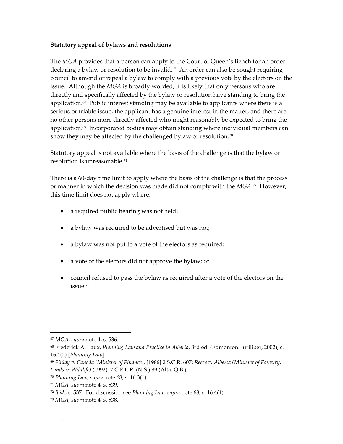#### <span id="page-21-0"></span>**Statutory appeal of bylaws and resolutions**

The *MGA* provides that a person can apply to the Court of Queen's Bench for an order declaring a bylaw or resolution to be invalid.<sup>67</sup> An order can also be sought requiring council to amend or repeal a bylaw to comply with a previous vote by the electors on the issue. Although the *MGA* is broadly worded, it is likely that only persons who are directly and specifically affected by the bylaw or resolution have standing to bring the application. $68$  Public interest standing may be available to applicants where there is a serious or triable issue, the applicant has a genuine interest in the matter, and there are no other persons more directly affected who might reasonably be expected to bring the application. $69$  Incorporated bodies may obtain standing where individual members can show they may be affected by the challenged bylaw or resolution.<sup>[70](#page-21-4)</sup>

Statutory appeal is not available where the basis of the challenge is that the bylaw or resolution is unreasonable.[71](#page-21-5)

There is a 60-day time limit to apply where the basis of the challenge is that the process or manner in which the decision was made did not comply with the *MGA*. [72](#page-21-6) However, this time limit does not apply where:

- a required public hearing was not held;
- a bylaw was required to be advertised but was not;
- a bylaw was not put to a vote of the electors as required;
- a vote of the electors did not approve the bylaw; or
- council refused to pass the bylaw as required after a vote of the electors on the  $i$ ssue $73$

<span id="page-21-1"></span><sup>67</sup> *MGA*, *supra* note 4, s. 536.

<span id="page-21-2"></span><sup>68</sup> Frederick A. Laux, *Planning Law and Practice in Alberta,* 3rd ed. (Edmonton: Juriliber, 2002), s. 16.4(2) [*Planning Law*].

<span id="page-21-3"></span><sup>69</sup> *Finlay v. Canada (Minister of Finance),* [1986] 2 S.C.R. 607; *Reese v. Alberta (Minister of Forestry, Lands & Wildlife)* (1992), 7 C.E.L.R. (N.S.) 89 (Alta. Q.B.).

<span id="page-21-4"></span><sup>70</sup> *Planning Law, supra* note 68, s. 16.3(1).

<span id="page-21-5"></span><sup>71</sup> *MGA*, *supra* note 4, s. 539.

<span id="page-21-6"></span><sup>72</sup> *Ibid.*, s. 537. For discussion see *Planning Law, supra* note 68, s. 16.4(4).

<span id="page-21-7"></span><sup>73</sup> *MGA*, *supra* note 4, s. 538.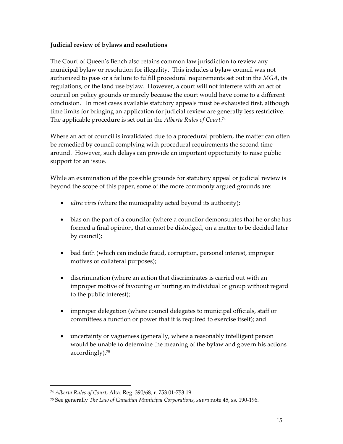## <span id="page-22-0"></span>**Judicial review of bylaws and resolutions**

The Court of Queen's Bench also retains common law jurisdiction to review any municipal bylaw or resolution for illegality. This includes a bylaw council was not authorized to pass or a failure to fulfill procedural requirements set out in the *MGA*, its regulations, or the land use bylaw. However, a court will not interfere with an act of council on policy grounds or merely because the court would have come to a different conclusion. In most cases available statutory appeals must be exhausted first, although time limits for bringing an application for judicial review are generally less restrictive. The applicable procedure is set out in the *Alberta Rules of Court.*[74](#page-22-1) 

Where an act of council is invalidated due to a procedural problem, the matter can often be remedied by council complying with procedural requirements the second time around. However, such delays can provide an important opportunity to raise public support for an issue.

While an examination of the possible grounds for statutory appeal or judicial review is beyond the scope of this paper, some of the more commonly argued grounds are:

- *ultra vires* (where the municipality acted beyond its authority);
- bias on the part of a councilor (where a councilor demonstrates that he or she has formed a final opinion, that cannot be dislodged, on a matter to be decided later by council);
- bad faith (which can include fraud, corruption, personal interest, improper motives or collateral purposes);
- discrimination (where an action that discriminates is carried out with an improper motive of favouring or hurting an individual or group without regard to the public interest);
- improper delegation (where council delegates to municipal officials, staff or committees a function or power that it is required to exercise itself); and
- uncertainty or vagueness (generally, where a reasonably intelligent person would be unable to determine the meaning of the bylaw and govern his actions accordingly). [75](#page-22-2)

<span id="page-22-1"></span><sup>74</sup> *Alberta Rules of Court*, Alta. Reg. 390/68, r. 753.01-753.19.

<span id="page-22-2"></span><sup>75</sup> See generally *The Law of Canadian Municipal Corporations*, *supra* note 45, ss. 190-196.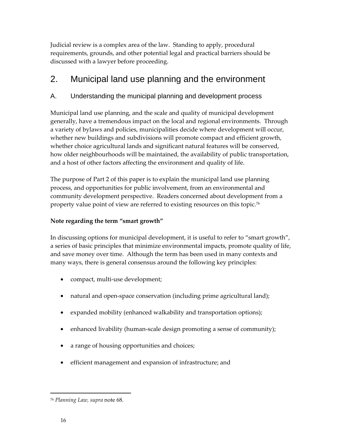<span id="page-23-0"></span>Judicial review is a complex area of the law. Standing to apply, procedural requirements, grounds, and other potential legal and practical barriers should be discussed with a lawyer before proceeding.

# 2. Municipal land use planning and the environment

# A. Understanding the municipal planning and development process

Municipal land use planning, and the scale and quality of municipal development generally, have a tremendous impact on the local and regional environments. Through a variety of bylaws and policies, municipalities decide where development will occur, whether new buildings and subdivisions will promote compact and efficient growth, whether choice agricultural lands and significant natural features will be conserved, how older neighbourhoods will be maintained, the availability of public transportation, and a host of other factors affecting the environment and quality of life.

The purpose of Part 2 of this paper is to explain the municipal land use planning process, and opportunities for public involvement, from an environmental and community development perspective. Readers concerned about development from a property value point of view are referred to existing resources on this topic.[76](#page-23-1)

# **Note regarding the term "smart growth"**

In discussing options for municipal development, it is useful to refer to "smart growth", a series of basic principles that minimize environmental impacts, promote quality of life, and save money over time. Although the term has been used in many contexts and many ways, there is general consensus around the following key principles:

- compact, multi-use development;
- natural and open-space conservation (including prime agricultural land);
- expanded mobility (enhanced walkability and transportation options);
- enhanced livability (human-scale design promoting a sense of community);
- a range of housing opportunities and choices;
- efficient management and expansion of infrastructure; and

<span id="page-23-1"></span><sup>76</sup> *Planning Law, supra* note 68.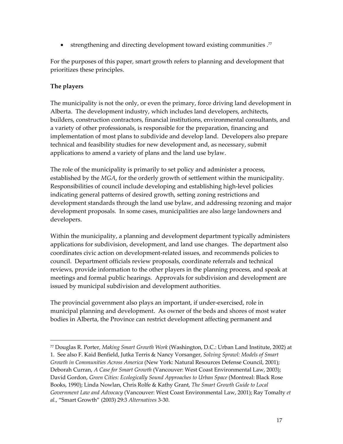<span id="page-24-0"></span>• strengthening and directing development toward existing communities .<sup>77</sup>

For the purposes of this paper, smart growth refers to planning and development that prioritizes these principles.

# **The players**

 $\overline{a}$ 

The municipality is not the only, or even the primary, force driving land development in Alberta. The development industry, which includes land developers, architects, builders, construction contractors, financial institutions, environmental consultants, and a variety of other professionals, is responsible for the preparation, financing and implementation of most plans to subdivide and develop land. Developers also prepare technical and feasibility studies for new development and, as necessary, submit applications to amend a variety of plans and the land use bylaw.

The role of the municipality is primarily to set policy and administer a process, established by the *MGA*, for the orderly growth of settlement within the municipality. Responsibilities of council include developing and establishing high-level policies indicating general patterns of desired growth, setting zoning restrictions and development standards through the land use bylaw, and addressing rezoning and major development proposals. In some cases, municipalities are also large landowners and developers.

Within the municipality, a planning and development department typically administers applications for subdivision, development, and land use changes. The department also coordinates civic action on development-related issues, and recommends policies to council. Department officials review proposals, coordinate referrals and technical reviews, provide information to the other players in the planning process, and speak at meetings and formal public hearings. Approvals for subdivision and development are issued by municipal subdivision and development authorities.

The provincial government also plays an important, if under-exercised, role in municipal planning and development. As owner of the beds and shores of most water bodies in Alberta, the Province can restrict development affecting permanent and

<span id="page-24-1"></span><sup>77</sup> Douglas R. Porter, *Making Smart Growth Work* (Washington, D.C.: Urban Land Institute, 2002) at 1. See also F. Kaid Benfield, Jutka Terris & Nancy Vorsanger, *Solving Sprawl: Models of Smart Growth in Communities Across America* (New York: Natural Resources Defense Council, 2001); Deborah Curran, *A Case for Smart Growth* (Vancouver: West Coast Environmental Law, 2003); David Gordon, *Green Cities: Ecologically Sound Approaches to Urban Space* (Montreal: Black Rose Books, 1990); Linda Nowlan, Chris Rolfe & Kathy Grant, *The Smart Growth Guide to Local Government Law and Advocacy* (Vancouver: West Coast Environmental Law, 2001); Ray Tomalty *et al.*, "Smart Growth" (2003) 29:3 *Alternatives* 3-30.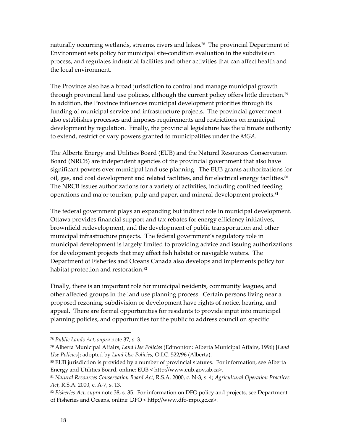naturally occurring wetlands, streams, rivers and lakes.<sup>78</sup> The provincial Department of Environment sets policy for municipal site-condition evaluation in the subdivision process, and regulates industrial facilities and other activities that can affect health and the local environment.

The Province also has a broad jurisdiction to control and manage municipal growth through provincial land use policies, although the current policy offers little direction.<sup>79</sup> In addition, the Province influences municipal development priorities through its funding of municipal service and infrastructure projects. The provincial government also establishes processes and imposes requirements and restrictions on municipal development by regulation. Finally, the provincial legislature has the ultimate authority to extend, restrict or vary powers granted to municipalities under the *MGA.* 

The Alberta Energy and Utilities Board (EUB) and the Natural Resources Conservation Board (NRCB) are independent agencies of the provincial government that also have significant powers over municipal land use planning. The EUB grants authorizations for oil, gas, and coal development and related facilities, and for electrical energy facilities.<sup>80</sup> The NRCB issues authorizations for a variety of activities, including confined feeding operations and major tourism, pulp and paper, and mineral development projects.<sup>81</sup>

The federal government plays an expanding but indirect role in municipal development. Ottawa provides financial support and tax rebates for energy efficiency initiatives, brownfield redevelopment, and the development of public transportation and other municipal infrastructure projects. The federal government's regulatory role in municipal development is largely limited to providing advice and issuing authorizations for development projects that may affect fish habitat or navigable waters. The Department of Fisheries and Oceans Canada also develops and implements policy for habitat protection and restoration.<sup>[82](#page-25-4)</sup>

Finally, there is an important role for municipal residents, community leagues, and other affected groups in the land use planning process. Certain persons living near a proposed rezoning, subdivision or development have rights of notice, hearing, and appeal. There are formal opportunities for residents to provide input into municipal planning policies, and opportunities for the public to address council on specific

<span id="page-25-0"></span><sup>78</sup> *Public Lands Act*, *supra* note 37, s. 3.

<span id="page-25-1"></span><sup>79</sup> Alberta Municipal Affairs, *Land Use Policies* (Edmonton: Alberta Municipal Affairs, 1996) [*Land Use Policies*]; adopted by *Land Use Policies,* O.I.C. 522/96 (Alberta).

<span id="page-25-2"></span><sup>80</sup> EUB jurisdiction is provided by a number of provincial statutes. For information, see Alberta Energy and Utilities Board, online: EUB < http://www.eub.gov.ab.ca>.

<span id="page-25-3"></span><sup>81</sup> *Natural Resources Conservation Board Act*, R.S.A. 2000, c. N-3, s. 4; *Agricultural Operation Practices Act,* R.S.A. 2000, c. A-7, s. 13.

<span id="page-25-4"></span><sup>82</sup> *Fisheries Act, supra* note 38, s. 35. For information on DFO policy and projects, see Department of Fisheries and Oceans, online: DFO < http://www.dfo-mpo.gc.ca>.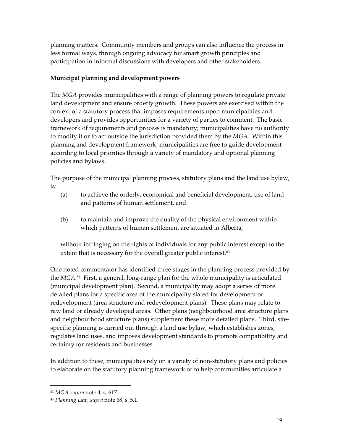<span id="page-26-0"></span>planning matters. Community members and groups can also influence the process in less formal ways, through ongoing advocacy for smart growth principles and participation in informal discussions with developers and other stakeholders.

# **Municipal planning and development powers**

The *MGA* provides municipalities with a range of planning powers to regulate private land development and ensure orderly growth. These powers are exercised within the context of a statutory process that imposes requirements upon municipalities and developers and provides opportunities for a variety of parties to comment. The basic framework of requirements and process is mandatory; municipalities have no authority to modify it or to act outside the jurisdiction provided them by the *MGA*. Within this planning and development framework, municipalities are free to guide development according to local priorities through a variety of mandatory and optional planning policies and bylaws.

The purpose of the municipal planning process, statutory plans and the land use bylaw, is:

- (a) to achieve the orderly, economical and beneficial development, use of land and patterns of human settlement, and
- (b) to maintain and improve the quality of the physical environment within which patterns of human settlement are situated in Alberta,

without infringing on the rights of individuals for any public interest except to the extent that is necessary for the overall greater public interest.<sup>[83](#page-26-1)</sup>

One noted commentator has identified three stages in the planning process provided by the *MGA*. [84](#page-26-2) First, a general, long-range plan for the whole municipality is articulated (municipal development plan). Second, a municipality may adopt a series of more detailed plans for a specific area of the municipality slated for development or redevelopment (area structure and redevelopment plans). These plans may relate to raw land or already developed areas. Other plans (neighbourhood area structure plans and neighbourhood structure plans) supplement these more detailed plans. Third, sitespecific planning is carried out through a land use bylaw, which establishes zones, regulates land uses, and imposes development standards to promote compatibility and certainty for residents and businesses.

In addition to these, municipalities rely on a variety of non-statutory plans and policies to elaborate on the statutory planning framework or to help communities articulate a

<span id="page-26-1"></span><sup>83</sup> *MGA*, *supra* note 4, s. 617.

<span id="page-26-2"></span><sup>84</sup> *Planning Law, supra* note 68, s. 5.1.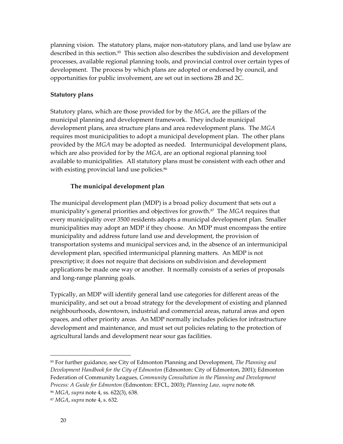<span id="page-27-0"></span>planning vision. The statutory plans, major non-statutory plans, and land use bylaw are described in this section.<sup>85</sup> This section also describes the subdivision and development processes, available regional planning tools, and provincial control over certain types of development. The process by which plans are adopted or endorsed by council, and opportunities for public involvement, are set out in sections 2B and 2C.

#### **Statutory plans**

Statutory plans, which are those provided for by the *MGA*, are the pillars of the municipal planning and development framework. They include municipal development plans, area structure plans and area redevelopment plans. The *MGA* requires most municipalities to adopt a municipal development plan. The other plans provided by the *MGA* may be adopted as needed. Intermunicipal development plans, which are also provided for by the *MGA*, are an optional regional planning tool available to municipalities. All statutory plans must be consistent with each other and with existing provincial land use policies.<sup>86</sup>

## **The municipal development plan**

The municipal development plan (MDP) is a broad policy document that sets out a municipality's general priorities and objectives for growth.[87](#page-27-3) The *MGA* requires that every municipality over 3500 residents adopts a municipal development plan. Smaller municipalities may adopt an MDP if they choose. An MDP must encompass the entire municipality and address future land use and development, the provision of transportation systems and municipal services and, in the absence of an intermunicipal development plan, specified intermunicipal planning matters. An MDP is not prescriptive; it does not require that decisions on subdivision and development applications be made one way or another. It normally consists of a series of proposals and long-range planning goals.

Typically, an MDP will identify general land use categories for different areas of the municipality, and set out a broad strategy for the development of existing and planned neighbourhoods, downtown, industrial and commercial areas, natural areas and open spaces, and other priority areas. An MDP normally includes policies for infrastructure development and maintenance, and must set out policies relating to the protection of agricultural lands and development near sour gas facilities.

<span id="page-27-1"></span><sup>85</sup> For further guidance, see City of Edmonton Planning and Development, *The Planning and Development Handbook for the City of Edmonton* (Edmonton: City of Edmonton, 2001); Edmonton Federation of Community Leagues, *Community Consultation in the Planning and Development Process: A Guide for Edmonton* (Edmonton: EFCL, 2003); *Planning Law, supra* note 68.

<span id="page-27-2"></span><sup>86</sup> *MGA*, *supra* note 4, ss. 622(3), 638.

<span id="page-27-3"></span><sup>87</sup> *MGA*, *supra* note 4, s. 632.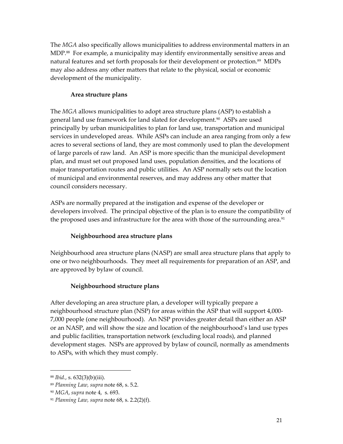<span id="page-28-0"></span>The *MGA* also specifically allows municipalities to address environmental matters in an MDP.[88](#page-28-1) For example, a municipality may identify environmentally sensitive areas and natural features and set forth proposals for their development or protection.<sup>89</sup> MDPs may also address any other matters that relate to the physical, social or economic development of the municipality.

#### **Area structure plans**

The *MGA* allows municipalities to adopt area structure plans (ASP) to establish a general land use framework for land slated for development.<sup>90</sup> ASPs are used principally by urban municipalities to plan for land use, transportation and municipal services in undeveloped areas. While ASPs can include an area ranging from only a few acres to several sections of land, they are most commonly used to plan the development of large parcels of raw land. An ASP is more specific than the municipal development plan, and must set out proposed land uses, population densities, and the locations of major transportation routes and public utilities. An ASP normally sets out the location of municipal and environmental reserves, and may address any other matter that council considers necessary.

ASPs are normally prepared at the instigation and expense of the developer or developers involved. The principal objective of the plan is to ensure the compatibility of the proposed uses and infrastructure for the area with those of the surrounding area.<sup>[91](#page-28-4)</sup>

# **Neighbourhood area structure plans**

Neighbourhood area structure plans (NASP) are small area structure plans that apply to one or two neighbourhoods. They meet all requirements for preparation of an ASP, and are approved by bylaw of council.

# **Neighbourhood structure plans**

After developing an area structure plan, a developer will typically prepare a neighbourhood structure plan (NSP) for areas within the ASP that will support 4,000- 7,000 people (one neighbourhood). An NSP provides greater detail than either an ASP or an NASP, and will show the size and location of the neighbourhood's land use types and public facilities, transportation network (excluding local roads), and planned development stages. NSPs are approved by bylaw of council, normally as amendments to ASPs, with which they must comply.

<span id="page-28-1"></span><sup>88</sup> *Ibid.*, s. 632(3)(b)(iii).

<span id="page-28-2"></span><sup>89</sup> *Planning Law, supra* note 68, s. 5.2.

<span id="page-28-3"></span><sup>90</sup> *MGA*, *supra* note 4, s. 693.

<span id="page-28-4"></span><sup>91</sup> *Planning Law, supra* note 68, s. 2.2(2)(f).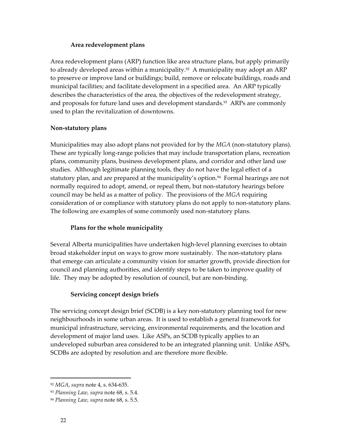#### **Area redevelopment plans**

<span id="page-29-0"></span>Area redevelopment plans (ARP) function like area structure plans, but apply primarily to already developed areas within a municipality. [92](#page-29-1) A municipality may adopt an ARP to preserve or improve land or buildings; build, remove or relocate buildings, roads and municipal facilities; and facilitate development in a specified area. An ARP typically describes the characteristics of the area, the objectives of the redevelopment strategy, and proposals for future land uses and development standards.<sup>93</sup> ARPs are commonly used to plan the revitalization of downtowns.

## **Non-statutory plans**

Municipalities may also adopt plans not provided for by the *MGA* (non-statutory plans). These are typically long-range policies that may include transportation plans, recreation plans, community plans, business development plans, and corridor and other land use studies. Although legitimate planning tools, they do not have the legal effect of a statutory plan, and are prepared at the municipality's option.<sup>94</sup> Formal hearings are not normally required to adopt, amend, or repeal them, but non-statutory hearings before council may be held as a matter of policy. The provisions of the *MGA* requiring consideration of or compliance with statutory plans do not apply to non-statutory plans. The following are examples of some commonly used non-statutory plans.

# **Plans for the whole municipality**

Several Alberta municipalities have undertaken high-level planning exercises to obtain broad stakeholder input on ways to grow more sustainably. The non-statutory plans that emerge can articulate a community vision for smarter growth, provide direction for council and planning authorities, and identify steps to be taken to improve quality of life. They may be adopted by resolution of council, but are non-binding.

# **Servicing concept design briefs**

The servicing concept design brief (SCDB) is a key non-statutory planning tool for new neighbourhoods in some urban areas. It is used to establish a general framework for municipal infrastructure, servicing, environmental requirements, and the location and development of major land uses. Like ASPs, an SCDB typically applies to an undeveloped suburban area considered to be an integrated planning unit. Unlike ASPs, SCDBs are adopted by resolution and are therefore more flexible.

<span id="page-29-1"></span><sup>92</sup> *MGA*, *supra* note 4, s. 634-635.

<span id="page-29-2"></span><sup>93</sup> *Planning Law, supra* note 68, s. 5.4.

<span id="page-29-3"></span><sup>94</sup> *Planning Law, supra* note 68, s. 5.5.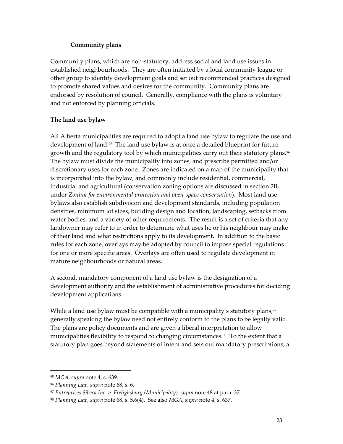## **Community plans**

<span id="page-30-0"></span>Community plans, which are non-statutory, address social and land use issues in established neighbourhoods. They are often initiated by a local community league or other group to identify development goals and set out recommended practices designed to promote shared values and desires for the community. Community plans are endorsed by resolution of council. Generally, compliance with the plans is voluntary and not enforced by planning officials.

# **The land use bylaw**

All Alberta municipalities are required to adopt a land use bylaw to regulate the use and development of land.<sup>95</sup> The land use bylaw is at once a detailed blueprint for future growth and the regulatory tool by which municipalities carry out their statutory plans.<sup>96</sup> The bylaw must divide the municipality into zones, and prescribe permitted and/or discretionary uses for each zone. Zones are indicated on a map of the municipality that is incorporated into the bylaw, and commonly include residential, commercial, industrial and agricultural (conservation zoning options are discussed in section 2B, under *Zoning for environmental protection and open-space conservation*). Most land use bylaws also establish subdivision and development standards, including population densities, minimum lot sizes, building design and location, landscaping, setbacks from water bodies, and a variety of other requirements. The result is a set of criteria that any landowner may refer to in order to determine what uses he or his neighbour may make of their land and what restrictions apply to its development. In addition to the basic rules for each zone, overlays may be adopted by council to impose special regulations for one or more specific areas. Overlays are often used to regulate development in mature neighbourhoods or natural areas.

A second, mandatory component of a land use bylaw is the designation of a development authority and the establishment of administrative procedures for deciding development applications.

While a land use bylaw must be compatible with a municipality's statutory plans,<sup>[97](#page-30-3)</sup> generally speaking the bylaw need not entirely conform to the plans to be legally valid. The plans are policy documents and are given a liberal interpretation to allow municipalities flexibility to respond to changing circumstances.<sup>98</sup> To the extent that a statutory plan goes beyond statements of intent and sets out mandatory prescriptions, a

<span id="page-30-1"></span><sup>95</sup> *MGA*, *supra* note 4, s. 639.

<span id="page-30-2"></span><sup>96</sup> *Planning Law, supra* note 68, s. 6.

<span id="page-30-3"></span><sup>97</sup> *Entreprises Sibeca Inc. v. Frelighsburg (Municipality), supra* note 48 at para. 37.

<span id="page-30-4"></span><sup>98</sup> *Planning Law, supra* note 68, s. 5.6(4). See also *MGA*, *supra* note 4, s. 637.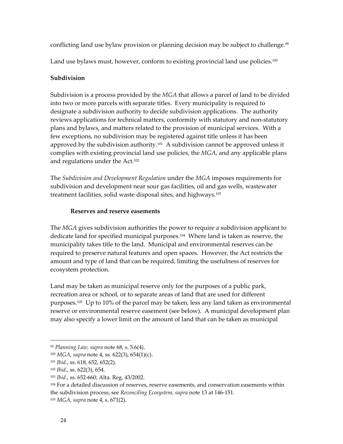<span id="page-31-0"></span>conflicting land use bylaw provision or planning decision may be subject to challenge.<sup>99</sup>

Land use bylaws must, however, conform to existing provincial land use policies.<sup>100</sup>

## **Subdivision**

Subdivision is a process provided by the *MGA* that allows a parcel of land to be divided into two or more parcels with separate titles. Every municipality is required to designate a subdivision authority to decide subdivision applications. The authority reviews applications for technical matters, conformity with statutory and non-statutory plans and bylaws, and matters related to the provision of municipal services. With a few exceptions, no subdivision may be registered against title unless it has been approved by the subdivision authority.<sup>101</sup> A subdivision cannot be approved unless it complies with existing provincial land use policies, the *MGA*, and any applicable plans and regulations under the Act.[102](#page-31-4)

The *Subdivision and Development Regulation* under the *MGA* imposes requirements for subdivision and development near sour gas facilities, oil and gas wells, wastewater treatment facilities, solid waste disposal sites, and highways.[103](#page-31-5)

#### **Reserves and reserve easements**

The *MGA* gives subdivision authorities the power to require a subdivision applicant to dedicate land for specified municipal purposes[.104](#page-31-6) Where land is taken as reserve, the municipality takes title to the land. Municipal and environmental reserves can be required to preserve natural features and open spaces. However, the Act restricts the amount and type of land that can be required, limiting the usefulness of reserves for ecosystem protection.

Land may be taken as municipal reserve only for the purposes of a public park, recreation area or school, or to separate areas of land that are used for different purposes[.105](#page-31-7) Up to 10% of the parcel may be taken, less any land taken as environmental reserve or environmental reserve easement (see below). A municipal development plan may also specify a lower limit on the amount of land that can be taken as municipal

<span id="page-31-1"></span><sup>99</sup> *Planning Law, supra* note 68, s. 5.6(4).

<span id="page-31-2"></span><sup>100</sup> *MGA*, *supra* note 4, ss. 622(3), 654(1)(c).

<span id="page-31-3"></span><sup>101</sup> *Ibid.*, ss. 618, 652, 652(2).

<span id="page-31-4"></span><sup>102</sup> *Ibid.*, ss. 622(3), 654.

<span id="page-31-5"></span><sup>103</sup> *Ibid.*, ss. 652-660; Alta. Reg. 43/2002.

<span id="page-31-6"></span><sup>&</sup>lt;sup>104</sup> For a detailed discussion of reserves, reserve easements, and conservation easements within the subdivision process, see *Reconciling Ecosystem, supra* note 13 at 146-151.

<span id="page-31-7"></span><sup>105</sup> *MGA*, *supra* note 4, s. 671(2).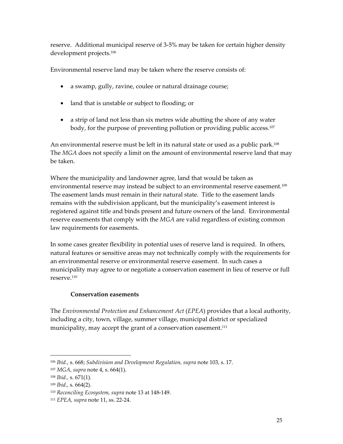<span id="page-32-0"></span>reserve. Additional municipal reserve of 3-5% may be taken for certain higher density development projects.[106](#page-32-1)

Environmental reserve land may be taken where the reserve consists of:

- a swamp, gully, ravine, coulee or natural drainage course;
- land that is unstable or subject to flooding; or
- a strip of land not less than six metres wide abutting the shore of any water body, for the purpose of preventing pollution or providing public access.<sup>107</sup>

An environmental reserve must be left in its natural state or used as a public park.<sup>108</sup> The *MGA* does not specify a limit on the amount of environmental reserve land that may be taken.

Where the municipality and landowner agree, land that would be taken as environmental reserve may instead be subject to an environmental reserve easement. [109](#page-32-4)  The easement lands must remain in their natural state. Title to the easement lands remains with the subdivision applicant, but the municipality's easement interest is registered against title and binds present and future owners of the land. Environmental reserve easements that comply with the *MGA* are valid regardless of existing common law requirements for easements.

In some cases greater flexibility in potential uses of reserve land is required. In others, natural features or sensitive areas may not technically comply with the requirements for an environmental reserve or environmental reserve easement. In such cases a municipality may agree to or negotiate a conservation easement in lieu of reserve or full reserve[.110](#page-32-5) 

# **Conservation easements**

The *Environmental Protection and Enhancement Act* (*EPEA*) provides that a local authority, including a city, town, village, summer village, municipal district or specialized municipality, may accept the grant of a conservation easement.<sup>[111](#page-32-6)</sup>

<span id="page-32-1"></span><sup>106</sup> *Ibid.*, s. 668; *Subdivision and Development Regulation, supra* note 103, s. 17.

<span id="page-32-2"></span><sup>107</sup> *MGA*, *supra* note 4, s. 664(1).

<span id="page-32-3"></span><sup>108</sup> *Ibid.,* s. 671(1).

<span id="page-32-4"></span><sup>109</sup> *Ibid.,* s. 664(2).

<span id="page-32-5"></span><sup>110</sup> *Reconciling Ecosystem, supra* note 13 at 148-149.

<span id="page-32-6"></span><sup>111</sup> *EPEA, supra* note 11, ss. 22-24.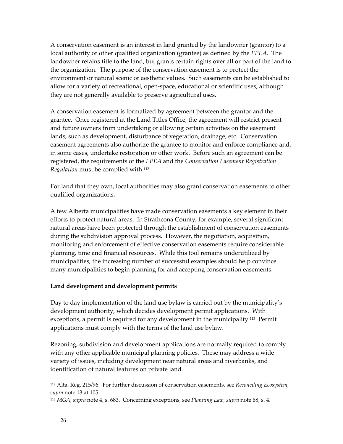<span id="page-33-0"></span>A conservation easement is an interest in land granted by the landowner (grantor) to a local authority or other qualified organization (grantee) as defined by the *EPEA*. The landowner retains title to the land, but grants certain rights over all or part of the land to the organization. The purpose of the conservation easement is to protect the environment or natural scenic or aesthetic values. Such easements can be established to allow for a variety of recreational, open-space, educational or scientific uses, although they are not generally available to preserve agricultural uses.

A conservation easement is formalized by agreement between the grantor and the grantee. Once registered at the Land Titles Office, the agreement will restrict present and future owners from undertaking or allowing certain activities on the easement lands, such as development, disturbance of vegetation, drainage, etc. Conservation easement agreements also authorize the grantee to monitor and enforce compliance and, in some cases, undertake restoration or other work. Before such an agreement can be registered, the requirements of the *EPEA* and the *Conservation Easement Registration Regulation* must be complied with.[112](#page-33-1)

For land that they own, local authorities may also grant conservation easements to other qualified organizations.

A few Alberta municipalities have made conservation easements a key element in their efforts to protect natural areas. In Strathcona County, for example, several significant natural areas have been protected through the establishment of conservation easements during the subdivision approval process. However, the negotiation, acquisition, monitoring and enforcement of effective conservation easements require considerable planning, time and financial resources. While this tool remains underutilized by municipalities, the increasing number of successful examples should help convince many municipalities to begin planning for and accepting conservation easements.

#### **Land development and development permits**

Day to day implementation of the land use bylaw is carried out by the municipality's development authority, which decides development permit applications. With exceptions, a permit is required for any development in the municipality.<sup>113</sup> Permit applications must comply with the terms of the land use bylaw.

Rezoning, subdivision and development applications are normally required to comply with any other applicable municipal planning policies. These may address a wide variety of issues, including development near natural areas and riverbanks, and identification of natural features on private land.

<span id="page-33-1"></span><sup>112</sup> Alta. Reg. 215/96. For further discussion of conservation easements, see *Reconciling Ecosystem, supra* note 13 at 105.

<span id="page-33-2"></span><sup>113</sup> *MGA*, *supra* note 4, s. 683. Concerning exceptions, see *Planning Law, supra* note 68, s. 4.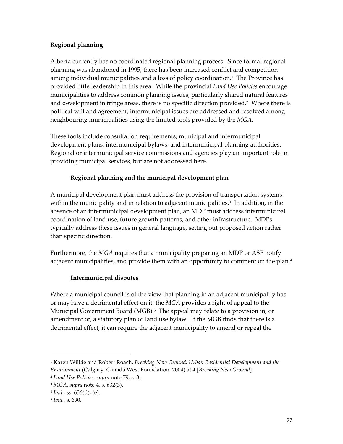# <span id="page-34-0"></span>**Regional planning**

Alberta currently has no coordinated regional planning process. Since formal regional planning was abandoned in 1995, there has been increased conflict and competition among individual municipalities and a loss of policy coordination.<sup>1</sup> The Province has provided little leadership in this area. While the provincial *Land Use Policies* encourage municipalities to address common planning issues, particularly shared natural features and development in fringe areas, there is no specific direction provided.<sup>2</sup> Where there is political will and agreement, intermunicipal issues are addressed and resolved among neighbouring municipalities using the limited tools provided by the *MGA*.

These tools include consultation requirements, municipal and intermunicipal development plans, intermunicipal bylaws, and intermunicipal planning authorities. Regional or intermunicipal service commissions and agencies play an important role in providing municipal services, but are not addressed here.

# **Regional planning and the municipal development plan**

A municipal development plan must address the provision of transportation systems within the municipality and in relation to adjacent municipalities.<sup>3</sup> In addition, in the absence of an intermunicipal development plan, an MDP must address intermunicipal coordination of land use, future growth patterns, and other infrastructure. MDPs typically address these issues in general language, setting out proposed action rather than specific direction.

Furthermore, the *MGA* requires that a municipality preparing an MDP or ASP notify adjacent municipalities, and provide them with an opportunity to comment on the plan.<sup>4</sup>

# **Intermunicipal disputes**

Where a municipal council is of the view that planning in an adjacent municipality has or may have a detrimental effect on it, the *MGA* provides a right of appeal to the Municipal Government Board (MGB).<sup>5</sup> The appeal may relate to a provision in, or amendment of, a statutory plan or land use bylaw. If the MGB finds that there is a detrimental effect, it can require the adjacent municipality to amend or repeal the

<u>.</u>

<span id="page-34-1"></span><sup>1</sup> Karen Wilkie and Robert Roach, *Breaking New Ground: Urban Residential Development and the Environment* (Calgary: Canada West Foundation, 2004) at 4 [*Breaking New Ground*].

<span id="page-34-2"></span><sup>2</sup> *Land Use Policies, supra* note 79, s. 3.

<span id="page-34-3"></span><sup>3</sup> *MGA*, *supra* note 4*,* s. 632(3).

<span id="page-34-4"></span><sup>4</sup> *Ibid.,* ss. 636(d), (e).

<span id="page-34-5"></span><sup>5</sup> *Ibid.*, s. 690.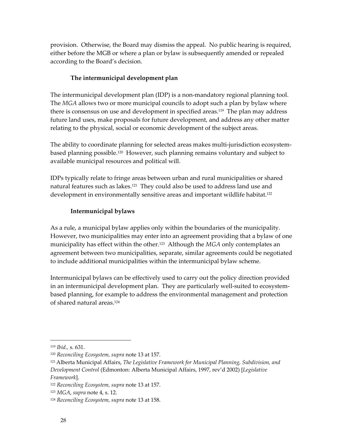<span id="page-35-0"></span>provision. Otherwise, the Board may dismiss the appeal. No public hearing is required, either before the MGB or where a plan or bylaw is subsequently amended or repealed according to the Board's decision.

# **The intermunicipal development plan**

The intermunicipal development plan (IDP) is a non-mandatory regional planning tool. The *MGA* allows two or more municipal councils to adopt such a plan by bylaw where there is consensus on use and development in specified areas.<sup>119</sup> The plan may address future land uses, make proposals for future development, and address any other matter relating to the physical, social or economic development of the subject areas.

The ability to coordinate planning for selected areas makes multi-jurisdiction ecosystembased planning possible[.120](#page-35-2) However, such planning remains voluntary and subject to available municipal resources and political will.

IDPs typically relate to fringe areas between urban and rural municipalities or shared natural features such as lakes.<sup>121</sup> They could also be used to address land use and development in environmentally sensitive areas and important wildlife habitat.<sup>122</sup>

# **Intermunicipal bylaws**

As a rule, a municipal bylaw applies only within the boundaries of the municipality. However, two municipalities may enter into an agreement providing that a bylaw of one municipality has effect within the other[.123](#page-35-5) Although the *MGA* only contemplates an agreement between two municipalities, separate, similar agreements could be negotiated to include additional municipalities within the intermunicipal bylaw scheme.

Intermunicipal bylaws can be effectively used to carry out the policy direction provided in an intermunicipal development plan. They are particularly well-suited to ecosystembased planning, for example to address the environmental management and protection of shared natural areas.[124](#page-35-6)

<span id="page-35-1"></span><sup>119</sup> *Ibid.,* s. 631.

<span id="page-35-2"></span><sup>120</sup> *Reconciling Ecosystem, supra* note 13 at 157.

<span id="page-35-3"></span><sup>121</sup> Alberta Municipal Affairs, *The Legislative Framework for Municipal Planning, Subdivision, and Development Control* (Edmonton: Alberta Municipal Affairs, 1997, rev'd 2002) [*Legislative Framework*].

<span id="page-35-4"></span><sup>122</sup> *Reconciling Ecosystem, supra* note 13 at 157.

<span id="page-35-5"></span><sup>123</sup> *MGA*, *supra* note 4, s. 12.

<span id="page-35-6"></span><sup>124</sup> *Reconciling Ecosystem, supra* note 13 at 158.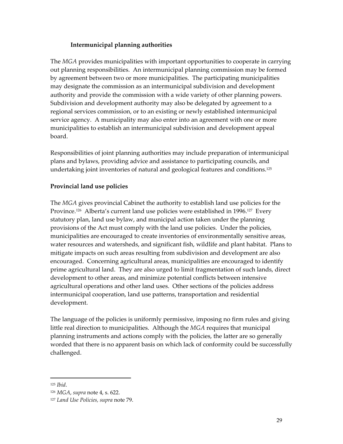# **Intermunicipal planning authorities**

The *MGA* provides municipalities with important opportunities to cooperate in carrying out planning responsibilities. An intermunicipal planning commission may be formed by agreement between two or more municipalities. The participating municipalities may designate the commission as an intermunicipal subdivision and development authority and provide the commission with a wide variety of other planning powers. Subdivision and development authority may also be delegated by agreement to a regional services commission, or to an existing or newly established intermunicipal service agency. A municipality may also enter into an agreement with one or more municipalities to establish an intermunicipal subdivision and development appeal board.

Responsibilities of joint planning authorities may include preparation of intermunicipal plans and bylaws, providing advice and assistance to participating councils, and undertaking joint inventories of natural and geological features and conditions.[125](#page-36-0)

# **Provincial land use policies**

The *MGA* gives provincial Cabinet the authority to establish land use policies for the Province.<sup>126</sup> Alberta's current land use policies were established in 1996.<sup>127</sup> Every statutory plan, land use bylaw, and municipal action taken under the planning provisions of the Act must comply with the land use policies. Under the policies, municipalities are encouraged to create inventories of environmentally sensitive areas, water resources and watersheds, and significant fish, wildlife and plant habitat. Plans to mitigate impacts on such areas resulting from subdivision and development are also encouraged. Concerning agricultural areas, municipalities are encouraged to identify prime agricultural land. They are also urged to limit fragmentation of such lands, direct development to other areas, and minimize potential conflicts between intensive agricultural operations and other land uses. Other sections of the policies address intermunicipal cooperation, land use patterns, transportation and residential development.

The language of the policies is uniformly permissive, imposing no firm rules and giving little real direction to municipalities. Although the *MGA* requires that municipal planning instruments and actions comply with the policies, the latter are so generally worded that there is no apparent basis on which lack of conformity could be successfully challenged.

<span id="page-36-0"></span><sup>125</sup> *Ibid*.

<span id="page-36-1"></span><sup>126</sup> *MGA*, *supra* note 4, s. 622.

<span id="page-36-2"></span><sup>127</sup> *Land Use Policies, supra* note 79.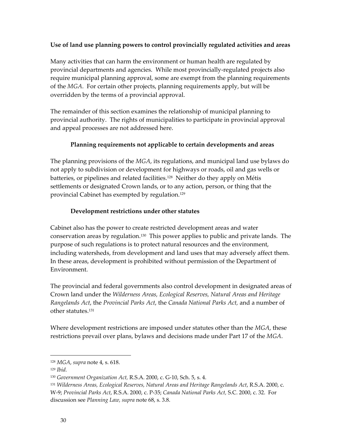## **Use of land use planning powers to control provincially regulated activities and areas**

Many activities that can harm the environment or human health are regulated by provincial departments and agencies. While most provincially-regulated projects also require municipal planning approval, some are exempt from the planning requirements of the *MGA*. For certain other projects, planning requirements apply, but will be overridden by the terms of a provincial approval.

The remainder of this section examines the relationship of municipal planning to provincial authority. The rights of municipalities to participate in provincial approval and appeal processes are not addressed here.

# **Planning requirements not applicable to certain developments and areas**

The planning provisions of the *MGA*, its regulations, and municipal land use bylaws do not apply to subdivision or development for highways or roads, oil and gas wells or batteries, or pipelines and related facilities.<sup>128</sup> Neither do they apply on Métis settlements or designated Crown lands, or to any action, person, or thing that the provincial Cabinet has exempted by regulation.<sup>[129](#page-37-1)</sup>

# **Development restrictions under other statutes**

Cabinet also has the power to create restricted development areas and water conservation areas by regulation[.130](#page-37-2) This power applies to public and private lands. The purpose of such regulations is to protect natural resources and the environment, including watersheds, from development and land uses that may adversely affect them. In these areas, development is prohibited without permission of the Department of Environment.

The provincial and federal governments also control development in designated areas of Crown land under the *Wilderness Areas, Ecological Reserves, Natural Areas and Heritage Rangelands Act*, the *Provincial Parks Act*, the *Canada National Parks Act,* and a number of other statutes.[131](#page-37-3)

Where development restrictions are imposed under statutes other than the *MGA*, these restrictions prevail over plans, bylaws and decisions made under Part 17 of the *MGA*.

<span id="page-37-0"></span><sup>128</sup> *MGA*, *supra* note 4, s. 618.

<span id="page-37-1"></span><sup>129</sup> *Ibid.*

<span id="page-37-2"></span><sup>130</sup> *Government Organization Act,* R.S.A. 2000, c. G-10, Sch. 5, s. 4.

<span id="page-37-3"></span><sup>131</sup> *Wilderness Areas, Ecological Reserves, Natural Areas and Heritage Rangelands Act*, R.S.A. 2000, c. W-9; *Provincial Parks Act*, R.S.A. 2000, c. P-35; *Canada National Parks Act,* S.C. 2000, c. 32. For

discussion see *Planning Law, supra* note 68, s. 3.8.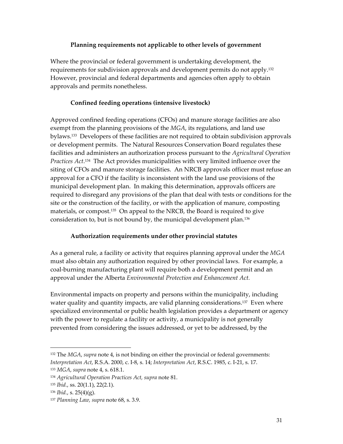## **Planning requirements not applicable to other levels of government**

Where the provincial or federal government is undertaking development, the requirements for subdivision approvals and development permits do not apply[.132](#page-38-0)  However, provincial and federal departments and agencies often apply to obtain approvals and permits nonetheless.

## **Confined feeding operations (intensive livestock)**

Approved confined feeding operations (CFOs) and manure storage facilities are also exempt from the planning provisions of the *MGA*, its regulations, and land use bylaws.[133](#page-38-1) Developers of these facilities are not required to obtain subdivision approvals or development permits. The Natural Resources Conservation Board regulates these facilities and administers an authorization process pursuant to the *Agricultural Operation Practices Act*. [134](#page-38-2) The Act provides municipalities with very limited influence over the siting of CFOs and manure storage facilities. An NRCB approvals officer must refuse an approval for a CFO if the facility is inconsistent with the land use provisions of the municipal development plan. In making this determination, approvals officers are required to disregard any provisions of the plan that deal with tests or conditions for the site or the construction of the facility, or with the application of manure, composting materials, or compost.[135](#page-38-3) On appeal to the NRCB, the Board is required to give consideration to, but is not bound by, the municipal development plan.[136](#page-38-4)

# **Authorization requirements under other provincial statutes**

As a general rule, a facility or activity that requires planning approval under the *MGA* must also obtain any authorization required by other provincial laws. For example, a coal-burning manufacturing plant will require both a development permit and an approval under the Alberta *Environmental Protection and Enhancement Act.* 

Environmental impacts on property and persons within the municipality, including water quality and quantity impacts, are valid planning considerations.<sup>137</sup> Even where specialized environmental or public health legislation provides a department or agency with the power to regulate a facility or activity, a municipality is not generally prevented from considering the issues addressed, or yet to be addressed, by the

<span id="page-38-0"></span><sup>132</sup> The *MGA*, *supra* note 4, is not binding on either the provincial or federal governments: *Interpretation Act*, R.S.A. 2000, c. I-8, s. 14; *Interpretation Act*, R.S.C. 1985, c. I-21, s. 17.

<span id="page-38-1"></span><sup>133</sup> *MGA*, *supra* note 4, s. 618.1.

<span id="page-38-2"></span><sup>134</sup> *Agricultural Operation Practices Act, supra* note 81.

<span id="page-38-3"></span><sup>135</sup> *Ibid.*, ss. 20(1.1), 22(2.1).

<span id="page-38-4"></span><sup>136</sup> *Ibid.*, s. 25(4)(g).

<span id="page-38-5"></span><sup>137</sup> *Planning Law, supra* note 68, s. 3.9.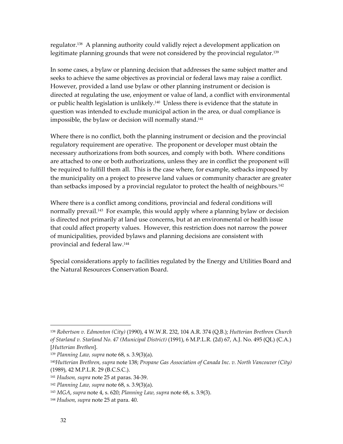regulator.[138](#page-39-0) A planning authority could validly reject a development application on legitimate planning grounds that were not considered by the provincial regulator[.139](#page-39-1)

In some cases, a bylaw or planning decision that addresses the same subject matter and seeks to achieve the same objectives as provincial or federal laws may raise a conflict. However, provided a land use bylaw or other planning instrument or decision is directed at regulating the use, enjoyment or value of land, a conflict with environmental or public health legislation is unlikely.<sup>140</sup> Unless there is evidence that the statute in question was intended to exclude municipal action in the area, or dual compliance is impossible, the bylaw or decision will normally stand.<sup>[141](#page-39-3)</sup>

Where there is no conflict, both the planning instrument or decision and the provincial regulatory requirement are operative. The proponent or developer must obtain the necessary authorizations from both sources, and comply with both. Where conditions are attached to one or both authorizations, unless they are in conflict the proponent will be required to fulfill them all. This is the case where, for example, setbacks imposed by the municipality on a project to preserve land values or community character are greater than setbacks imposed by a provincial regulator to protect the health of neighbours[.142](#page-39-4) 

Where there is a conflict among conditions, provincial and federal conditions will normally prevail[.143](#page-39-5) For example, this would apply where a planning bylaw or decision is directed not primarily at land use concerns, but at an environmental or health issue that could affect property values. However, this restriction does not narrow the power of municipalities, provided bylaws and planning decisions are consistent with provincial and federal law[.144](#page-39-6)

Special considerations apply to facilities regulated by the Energy and Utilities Board and the Natural Resources Conservation Board.

1

<span id="page-39-0"></span><sup>138</sup> *Robertson v. Edmonton (City)* (1990), 4 W.W.R. 232, 104 A.R. 374 (Q.B.); *Hutterian Brethren Church of Starland v. Starland No. 47 (Municipal District)* (1991), 6 M.P.L.R. (2d) 67, A.J. No. 495 (QL) (C.A.) [*Hutterian Brethen*].

<span id="page-39-1"></span><sup>139</sup> *Planning Law, supra* note 68, s. 3.9(3)(a).

<span id="page-39-2"></span><sup>140</sup>*Hutterian Brethren, supra* note 138; *Propane Gas Association of Canada Inc. v. North Vancouver (City)* (1989), 42 M.P.L.R. 29 (B.C.S.C.).

<span id="page-39-3"></span><sup>141</sup> *Hudson, supra* note 25 at paras. 34-39.

<span id="page-39-4"></span><sup>142</sup> *Planning Law, supra* note 68, s. 3.9(3)(a).

<span id="page-39-5"></span><sup>143</sup> *MGA*, *supra* note 4, s. 620; *Planning Law, supra* note 68, s. 3.9(3).

<span id="page-39-6"></span><sup>144</sup> *Hudson, supra* note 25 at para. 40.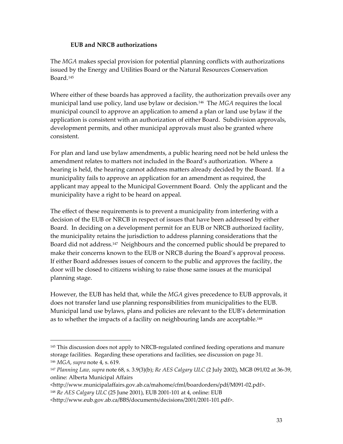## **EUB and NRCB authorizations**

The *MGA* makes special provision for potential planning conflicts with authorizations issued by the Energy and Utilities Board or the Natural Resources Conservation Board[.145](#page-40-0) 

Where either of these boards has approved a facility, the authorization prevails over any municipal land use policy, land use bylaw or decision.[146](#page-40-1) The *MGA* requires the local municipal council to approve an application to amend a plan or land use bylaw if the application is consistent with an authorization of either Board. Subdivision approvals, development permits, and other municipal approvals must also be granted where consistent.

For plan and land use bylaw amendments, a public hearing need not be held unless the amendment relates to matters not included in the Board's authorization. Where a hearing is held, the hearing cannot address matters already decided by the Board. If a municipality fails to approve an application for an amendment as required, the applicant may appeal to the Municipal Government Board. Only the applicant and the municipality have a right to be heard on appeal.

The effect of these requirements is to prevent a municipality from interfering with a decision of the EUB or NRCB in respect of issues that have been addressed by either Board. In deciding on a development permit for an EUB or NRCB authorized facility, the municipality retains the jurisdiction to address planning considerations that the Board did not address.[147](#page-40-2) Neighbours and the concerned public should be prepared to make their concerns known to the EUB or NRCB during the Board's approval process. If either Board addresses issues of concern to the public and approves the facility, the door will be closed to citizens wishing to raise those same issues at the municipal planning stage.

However, the EUB has held that, while the *MGA* gives precedence to EUB approvals, it does not transfer land use planning responsibilities from municipalities to the EUB. Municipal land use bylaws, plans and policies are relevant to the EUB's determination as to whether the impacts of a facility on neighbouring lands are acceptable.<sup>[148](#page-40-3)</sup>

<span id="page-40-0"></span><sup>145</sup> This discussion does not apply to NRCB-regulated confined feeding operations and manure storage facilities. Regarding these operations and facilities, see discussion on page 31. <sup>146</sup> *MGA*, *supra* note 4, s. 619.

<span id="page-40-2"></span><span id="page-40-1"></span><sup>147</sup> *Planning Law, supra* note 68, s. 3.9(3)(b); *Re AES Calgary ULC* (2 July 2002), MGB 091/02 at 36-39, online: Alberta Municipal Affairs

<sup>&</sup>lt;http://www.municipalaffairs.gov.ab.ca/mahome/cfml/boardorders/pdf/M091-02.pdf>.

<span id="page-40-3"></span><sup>148</sup> *Re AES Calgary ULC* (25 June 2001), EUB 2001-101 at 4, online: EUB

<sup>&</sup>lt;http://www.eub.gov.ab.ca/BBS/documents/decisions/2001/2001-101.pdf>.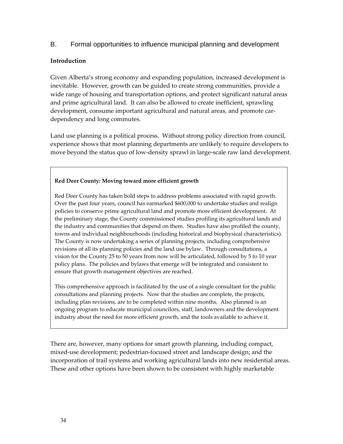# B. Formal opportunities to influence municipal planning and development

### **Introduction**

Given Alberta's strong economy and expanding population, increased development is inevitable. However, growth can be guided to create strong communities, provide a wide range of housing and transportation options, and protect significant natural areas and prime agricultural land. It can also be allowed to create inefficient, sprawling development, consume important agricultural and natural areas, and promote cardependency and long commutes.

Land use planning is a political process. Without strong policy direction from council, experience shows that most planning departments are unlikely to require developers to move beyond the status quo of low-density sprawl in large-scale raw land development.

### **Red Deer County: Moving toward more efficient growth**

Red Deer County has taken bold steps to address problems associated with rapid growth. Over the past four years, council has earmarked \$600,000 to undertake studies and realign policies to conserve prime agricultural land and promote more efficient development. At the preliminary stage, the County commissioned studies profiling its agricultural lands and the industry and communities that depend on them. Studies have also profiled the county, towns and individual neighbourhoods (including historical and biophysical characteristics). The County is now undertaking a series of planning projects, including comprehensive revisions of all its planning policies and the land use bylaw. Through consultations, a vision for the County 25 to 50 years from now will be articulated, followed by 5 to 10 year policy plans. The policies and bylaws that emerge will be integrated and consistent to ensure that growth management objectives are reached.

This comprehensive approach is facilitated by the use of a single consultant for the public consultations and planning projects. Now that the studies are complete, the projects, including plan revisions, are to be completed within nine months. Also planned is an ongoing program to educate municipal councilors, staff, landowners and the development industry about the need for more efficient growth, and the tools available to achieve it.

There are, however, many options for smart growth planning, including compact, mixed-use development; pedestrian-focused street and landscape design; and the incorporation of trail systems and working agricultural lands into new residential areas. These and other options have been shown to be consistent with highly marketable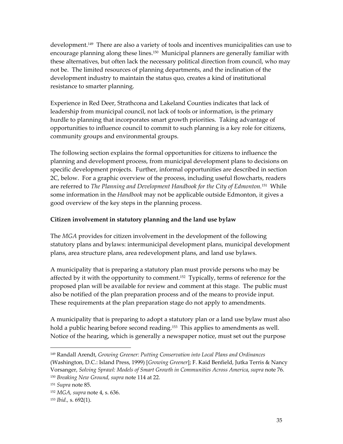development.<sup>149</sup> There are also a variety of tools and incentives municipalities can use to encourage planning along these lines.<sup>150</sup> Municipal planners are generally familiar with these alternatives, but often lack the necessary political direction from council, who may not be. The limited resources of planning departments, and the inclination of the development industry to maintain the status quo, creates a kind of institutional resistance to smarter planning.

Experience in Red Deer, Strathcona and Lakeland Counties indicates that lack of leadership from municipal council, not lack of tools or information, is the primary hurdle to planning that incorporates smart growth priorities. Taking advantage of opportunities to influence council to commit to such planning is a key role for citizens, community groups and environmental groups.

The following section explains the formal opportunities for citizens to influence the planning and development process, from municipal development plans to decisions on specific development projects. Further, informal opportunities are described in section 2C, below. For a graphic overview of the process, including useful flowcharts, readers are referred to *The Planning and Development Handbook for the City of Edmonton.*[151](#page-42-2)While some information in the *Handbook* may not be applicable outside Edmonton, it gives a good overview of the key steps in the planning process.

### **Citizen involvement in statutory planning and the land use bylaw**

The *MGA* provides for citizen involvement in the development of the following statutory plans and bylaws: intermunicipal development plans, municipal development plans, area structure plans, area redevelopment plans, and land use bylaws.

A municipality that is preparing a statutory plan must provide persons who may be affected by it with the opportunity to comment.<sup>152</sup> Typically, terms of reference for the proposed plan will be available for review and comment at this stage. The public must also be notified of the plan preparation process and of the means to provide input. These requirements at the plan preparation stage do not apply to amendments.

A municipality that is preparing to adopt a statutory plan or a land use bylaw must also hold a public hearing before second reading.<sup>153</sup> This applies to amendments as well. Notice of the hearing, which is generally a newspaper notice, must set out the purpose

<span id="page-42-0"></span><sup>149</sup> Randall Arendt, *Growing Greener: Putting Conservation into Local Plans and Ordinances* (Washington, D.C.: Island Press, 1999) [*Growing Greener*]; F. Kaid Benfield, Jutka Terris & Nancy Vorsanger, *Solving Sprawl: Models of Smart Growth in Communities Across America*, *supra* note 76. <sup>150</sup> *Breaking New Ground, supra* note 114 at 22.

<span id="page-42-2"></span><span id="page-42-1"></span><sup>151</sup> *Supra* note 85.

<span id="page-42-3"></span><sup>152</sup> *MGA, supra* note 4, s. 636.

<span id="page-42-4"></span><sup>153</sup> *Ibid.,* s. 692(1).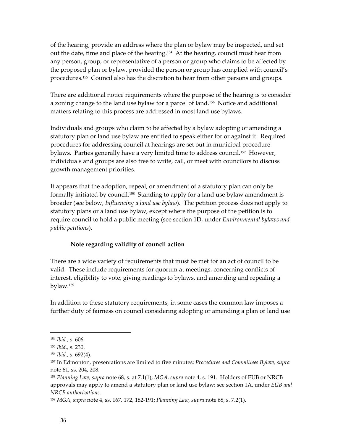of the hearing, provide an address where the plan or bylaw may be inspected, and set out the date, time and place of the hearing.[154](#page-43-0) At the hearing, council must hear from any person, group, or representative of a person or group who claims to be affected by the proposed plan or bylaw, provided the person or group has complied with council's procedures.[155](#page-43-1) Council also has the discretion to hear from other persons and groups.

There are additional notice requirements where the purpose of the hearing is to consider a zoning change to the land use bylaw for a parcel of land.[156](#page-43-2) Notice and additional matters relating to this process are addressed in most land use bylaws.

Individuals and groups who claim to be affected by a bylaw adopting or amending a statutory plan or land use bylaw are entitled to speak either for or against it. Required procedures for addressing council at hearings are set out in municipal procedure bylaws. Parties generally have a very limited time to address council.<sup>157</sup> However, individuals and groups are also free to write, call, or meet with councilors to discuss growth management priorities.

It appears that the adoption, repeal, or amendment of a statutory plan can only be formally initiated by council.[158](#page-43-4) Standing to apply for a land use bylaw amendment is broader (see below, *Influencing a land use bylaw*). The petition process does not apply to statutory plans or a land use bylaw, except where the purpose of the petition is to require council to hold a public meeting (see section 1D, under *Environmental bylaws and public petitions*).

### **Note regarding validity of council action**

There are a wide variety of requirements that must be met for an act of council to be valid. These include requirements for quorum at meetings, concerning conflicts of interest, eligibility to vote, giving readings to bylaws, and amending and repealing a bylaw.[159](#page-43-5)

In addition to these statutory requirements, in some cases the common law imposes a further duty of fairness on council considering adopting or amending a plan or land use

<span id="page-43-0"></span><sup>154</sup> *Ibid.,* s. 606.

<span id="page-43-1"></span><sup>155</sup> *Ibid.,* s. 230.

<span id="page-43-2"></span><sup>156</sup> *Ibid.,* s. 692(4).

<span id="page-43-3"></span><sup>157</sup> In Edmonton, presentations are limited to five minutes: *Procedures and Committees Bylaw, supra*  note 61*,* ss. 204, 208.

<span id="page-43-4"></span><sup>158</sup> *Planning Law, supra* note 68, s. at 7.1(1); *MGA*, *supra* note 4, s. 191. Holders of EUB or NRCB approvals may apply to amend a statutory plan or land use bylaw: see section 1A, under *EUB and NRCB authorizations*.

<span id="page-43-5"></span><sup>159</sup> *MGA*, *supra* note 4, ss. 167, 172, 182-191; *Planning Law, supra* note 68, s. 7.2(1).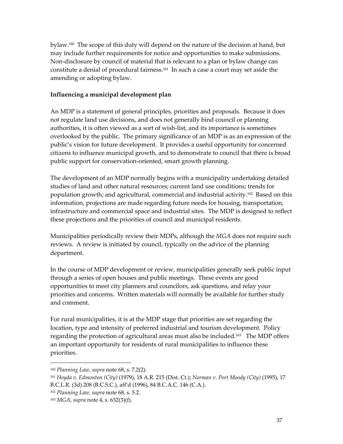bylaw.[160](#page-44-0) The scope of this duty will depend on the nature of the decision at hand, but may include further requirements for notice and opportunities to make submissions. Non-disclosure by council of material that is relevant to a plan or bylaw change can constitute a denial of procedural fairness.[161](#page-44-1) In such a case a court may set aside the amending or adopting bylaw.

#### **Influencing a municipal development plan**

An MDP is a statement of general principles, priorities and proposals. Because it does not regulate land use decisions, and does not generally bind council or planning authorities, it is often viewed as a sort of wish-list, and its importance is sometimes overlooked by the public. The primary significance of an MDP is as an expression of the public's vision for future development. It provides a useful opportunity for concerned citizens to influence municipal growth, and to demonstrate to council that there is broad public support for conservation-oriented, smart growth planning.

The development of an MDP normally begins with a municipality undertaking detailed studies of land and other natural resources; current land use conditions; trends for population growth; and agricultural, commercial and industrial activity.[162](#page-44-2) Based on this information, projections are made regarding future needs for housing, transportation, infrastructure and commercial space and industrial sites. The MDP is designed to reflect these projections and the priorities of council and municipal residents.

Municipalities periodically review their MDPs, although the *MGA* does not require such reviews. A review is initiated by council, typically on the advice of the planning department.

In the course of MDP development or review, municipalities generally seek public input through a series of open houses and public meetings. These events are good opportunities to meet city planners and councilors, ask questions, and relay your priorities and concerns. Written materials will normally be available for further study and comment.

For rural municipalities, it is at the MDP stage that priorities are set regarding the location, type and intensity of preferred industrial and tourism development. Policy regarding the protection of agricultural areas must also be included.<sup>163</sup> The MDP offers an important opportunity for residents of rural municipalities to influence these priorities.

<span id="page-44-0"></span><sup>160</sup> *Planning Law, supra* note 68, s. 7.2(2).

<span id="page-44-1"></span><sup>161</sup> *Hoyda v. Edmonton (City)* (1979), 18 A.R. 215 (Dist. Ct.); *Norman v. Port Moody (City)* (1995), 17 B.C.L.R. (3d) 208 (B.C.S.C.), aff'd (1996), 84 B.C.A.C. 146 (C.A.).

<span id="page-44-2"></span><sup>162</sup> *Planning Law, supra* note 68, s. 5.2.

<span id="page-44-3"></span><sup>163</sup> *MGA*, *supra* note 4, s. 632(3)(f).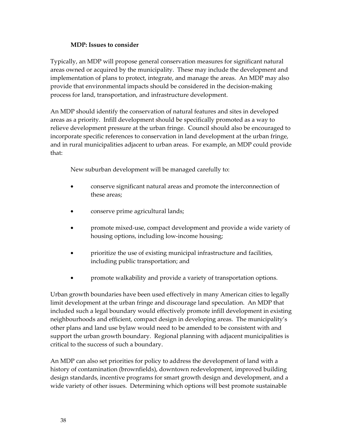## **MDP: Issues to consider**

Typically, an MDP will propose general conservation measures for significant natural areas owned or acquired by the municipality. These may include the development and implementation of plans to protect, integrate, and manage the areas. An MDP may also provide that environmental impacts should be considered in the decision-making process for land, transportation, and infrastructure development.

An MDP should identify the conservation of natural features and sites in developed areas as a priority. Infill development should be specifically promoted as a way to relieve development pressure at the urban fringe. Council should also be encouraged to incorporate specific references to conservation in land development at the urban fringe, and in rural municipalities adjacent to urban areas. For example, an MDP could provide that:

New suburban development will be managed carefully to:

- conserve significant natural areas and promote the interconnection of these areas;
- conserve prime agricultural lands;
- promote mixed-use, compact development and provide a wide variety of housing options, including low-income housing;
- prioritize the use of existing municipal infrastructure and facilities, including public transportation; and
- promote walkability and provide a variety of transportation options.

Urban growth boundaries have been used effectively in many American cities to legally limit development at the urban fringe and discourage land speculation. An MDP that included such a legal boundary would effectively promote infill development in existing neighbourhoods and efficient, compact design in developing areas. The municipality's other plans and land use bylaw would need to be amended to be consistent with and support the urban growth boundary. Regional planning with adjacent municipalities is critical to the success of such a boundary.

An MDP can also set priorities for policy to address the development of land with a history of contamination (brownfields), downtown redevelopment, improved building design standards, incentive programs for smart growth design and development, and a wide variety of other issues. Determining which options will best promote sustainable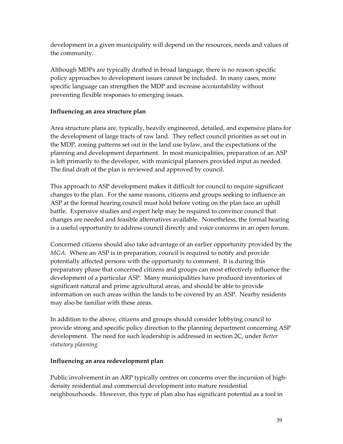development in a given municipality will depend on the resources, needs and values of the community.

Although MDPs are typically drafted in broad language, there is no reason specific policy approaches to development issues cannot be included. In many cases, more specific language can strengthen the MDP and increase accountability without preventing flexible responses to emerging issues.

# **Influencing an area structure plan**

Area structure plans are, typically, heavily engineered, detailed, and expensive plans for the development of large tracts of raw land. They reflect council priorities as set out in the MDP, zoning patterns set out in the land use bylaw, and the expectations of the planning and development department. In most municipalities, preparation of an ASP is left primarily to the developer, with municipal planners provided input as needed. The final draft of the plan is reviewed and approved by council.

This approach to ASP development makes it difficult for council to require significant changes to the plan. For the same reasons, citizens and groups seeking to influence an ASP at the formal hearing council must hold before voting on the plan face an uphill battle. Expensive studies and expert help may be required to convince council that changes are needed and feasible alternatives available. Nonetheless, the formal hearing is a useful opportunity to address council directly and voice concerns in an open forum.

Concerned citizens should also take advantage of an earlier opportunity provided by the *MGA*. Where an ASP is in preparation, council is required to notify and provide potentially affected persons with the opportunity to comment. It is during this preparatory phase that concerned citizens and groups can most effectively influence the development of a particular ASP. Many municipalities have produced inventories of significant natural and prime agricultural areas, and should be able to provide information on such areas within the lands to be covered by an ASP. Nearby residents may also be familiar with these areas.

In addition to the above, citizens and groups should consider lobbying council to provide strong and specific policy direction to the planning department concerning ASP development. The need for such leadership is addressed in section 2C, under *Better statutory planning.* 

# **Influencing an area redevelopment plan**

Public involvement in an ARP typically centres on concerns over the incursion of highdensity residential and commercial development into mature residential neighbourhoods. However, this type of plan also has significant potential as a tool in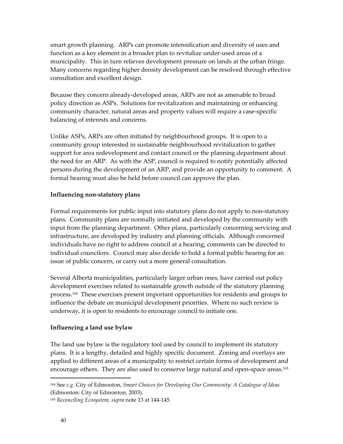smart growth planning. ARPs can promote intensification and diversity of uses and function as a key element in a broader plan to revitalize under-used areas of a municipality. This in turn relieves development pressure on lands at the urban fringe. Many concerns regarding higher density development can be resolved through effective consultation and excellent design.

Because they concern already-developed areas, ARPs are not as amenable to broad policy direction as ASPs. Solutions for revitalization and maintaining or enhancing community character, natural areas and property values will require a case-specific balancing of interests and concerns.

Unlike ASPs, ARPs are often initiated by neighbourhood groups. It is open to a community group interested in sustainable neighbourhood revitalization to gather support for area redevelopment and contact council or the planning department about the need for an ARP. As with the ASP, council is required to notify potentially affected persons during the development of an ARP, and provide an opportunity to comment. A formal hearing must also be held before council can approve the plan.

#### **Influencing non-statutory plans**

Formal requirements for public input into statutory plans do not apply to non-statutory plans. Community plans are normally initiated and developed by the community with input from the planning department. Other plans, particularly concerning servicing and infrastructure, are developed by industry and planning officials. Although concerned individuals have no right to address council at a hearing, comments can be directed to individual councilors. Council may also decide to hold a formal public hearing for an issue of public concern, or carry out a more general consultation.

Several Alberta municipalities, particularly larger urban ones, have carried out policy development exercises related to sustainable growth outside of the statutory planning process[.164](#page-47-0) These exercises present important opportunities for residents and groups to influence the debate on municipal development priorities. Where no such review is underway, it is open to residents to encourage council to initiate one.

### **Influencing a land use bylaw**

The land use bylaw is the regulatory tool used by council to implement its statutory plans. It is a lengthy, detailed and highly specific document. Zoning and overlays are applied to different areas of a municipality to restrict certain forms of development and encourage others. They are also used to conserve large natural and open-space areas.<sup>165</sup>

<span id="page-47-0"></span><sup>164</sup> See *e.g.* City of Edmonton, *Smart Choices for Developing Our Community: A Catalogue of Ideas* (Edmonton: City of Edmonton, 2003).

<span id="page-47-1"></span><sup>165</sup> *Reconciling Ecosystem, supra* note 13 at 144-145.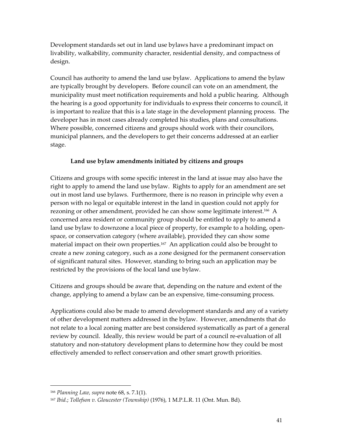Development standards set out in land use bylaws have a predominant impact on livability, walkability, community character, residential density, and compactness of design.

Council has authority to amend the land use bylaw. Applications to amend the bylaw are typically brought by developers. Before council can vote on an amendment, the municipality must meet notification requirements and hold a public hearing. Although the hearing is a good opportunity for individuals to express their concerns to council, it is important to realize that this is a late stage in the development planning process. The developer has in most cases already completed his studies, plans and consultations. Where possible, concerned citizens and groups should work with their councilors, municipal planners, and the developers to get their concerns addressed at an earlier stage.

### **Land use bylaw amendments initiated by citizens and groups**

Citizens and groups with some specific interest in the land at issue may also have the right to apply to amend the land use bylaw. Rights to apply for an amendment are set out in most land use bylaws. Furthermore, there is no reason in principle why even a person with no legal or equitable interest in the land in question could not apply for rezoning or other amendment, provided he can show some legitimate interest.<sup>166</sup> A concerned area resident or community group should be entitled to apply to amend a land use bylaw to downzone a local piece of property, for example to a holding, openspace, or conservation category (where available), provided they can show some material impact on their own properties[.167](#page-48-1) An application could also be brought to create a new zoning category, such as a zone designed for the permanent conservation of significant natural sites. However, standing to bring such an application may be restricted by the provisions of the local land use bylaw.

Citizens and groups should be aware that, depending on the nature and extent of the change, applying to amend a bylaw can be an expensive, time-consuming process.

Applications could also be made to amend development standards and any of a variety of other development matters addressed in the bylaw. However, amendments that do not relate to a local zoning matter are best considered systematically as part of a general review by council. Ideally, this review would be part of a council re-evaluation of all statutory and non-statutory development plans to determine how they could be most effectively amended to reflect conservation and other smart growth priorities.

<span id="page-48-0"></span><sup>166</sup> *Planning Law, supra* note 68, s. 7.1(1).

<span id="page-48-1"></span><sup>167</sup> *Ibid.*; *Tollefson v. Gloucester (Township)* (1976), 1 M.P.L.R. 11 (Ont. Mun. Bd).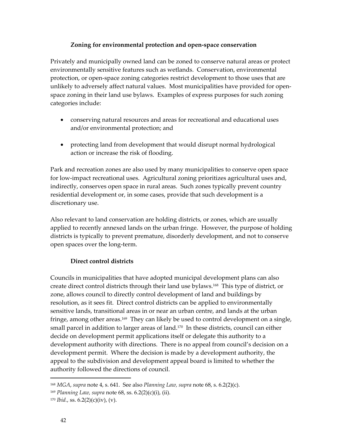### **Zoning for environmental protection and open-space conservation**

Privately and municipally owned land can be zoned to conserve natural areas or protect environmentally sensitive features such as wetlands. Conservation, environmental protection, or open-space zoning categories restrict development to those uses that are unlikely to adversely affect natural values. Most municipalities have provided for openspace zoning in their land use bylaws. Examples of express purposes for such zoning categories include:

- conserving natural resources and areas for recreational and educational uses and/or environmental protection; and
- protecting land from development that would disrupt normal hydrological action or increase the risk of flooding.

Park and recreation zones are also used by many municipalities to conserve open space for low-impact recreational uses. Agricultural zoning prioritizes agricultural uses and, indirectly, conserves open space in rural areas. Such zones typically prevent country residential development or, in some cases, provide that such development is a discretionary use.

Also relevant to land conservation are holding districts, or zones, which are usually applied to recently annexed lands on the urban fringe. However, the purpose of holding districts is typically to prevent premature, disorderly development, and not to conserve open spaces over the long-term.

# **Direct control districts**

Councils in municipalities that have adopted municipal development plans can also create direct control districts through their land use bylaws[.168](#page-49-0) This type of district, or zone, allows council to directly control development of land and buildings by resolution, as it sees fit. Direct control districts can be applied to environmentally sensitive lands, transitional areas in or near an urban centre, and lands at the urban fringe, among other areas.<sup>169</sup> They can likely be used to control development on a single, small parcel in addition to larger areas of land.<sup>170</sup> In these districts, council can either decide on development permit applications itself or delegate this authority to a development authority with directions. There is no appeal from council's decision on a development permit. Where the decision is made by a development authority, the appeal to the subdivision and development appeal board is limited to whether the authority followed the directions of council.

<span id="page-49-0"></span><sup>168</sup> *MGA*, *supra* note 4, s. 641. See also *Planning Law, supra* note 68, s. 6.2(2)(c).

<span id="page-49-1"></span><sup>169</sup> *Planning Law, supra* note 68, ss. 6.2(2)(c)(i), (ii).

<span id="page-49-2"></span><sup>&</sup>lt;sup>170</sup> *Ibid.*, ss.  $6.2(2)(c)(iv)$ , (v).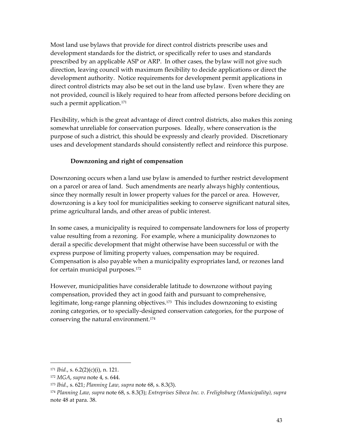Most land use bylaws that provide for direct control districts prescribe uses and development standards for the district, or specifically refer to uses and standards prescribed by an applicable ASP or ARP. In other cases, the bylaw will not give such direction, leaving council with maximum flexibility to decide applications or direct the development authority. Notice requirements for development permit applications in direct control districts may also be set out in the land use bylaw. Even where they are not provided, council is likely required to hear from affected persons before deciding on such a permit application.<sup>171</sup>

Flexibility, which is the great advantage of direct control districts, also makes this zoning somewhat unreliable for conservation purposes. Ideally, where conservation is the purpose of such a district, this should be expressly and clearly provided. Discretionary uses and development standards should consistently reflect and reinforce this purpose.

### **Downzoning and right of compensation**

Downzoning occurs when a land use bylaw is amended to further restrict development on a parcel or area of land. Such amendments are nearly always highly contentious, since they normally result in lower property values for the parcel or area. However, downzoning is a key tool for municipalities seeking to conserve significant natural sites, prime agricultural lands, and other areas of public interest.

In some cases, a municipality is required to compensate landowners for loss of property value resulting from a rezoning. For example, where a municipality downzones to derail a specific development that might otherwise have been successful or with the express purpose of limiting property values, compensation may be required. Compensation is also payable when a municipality expropriates land, or rezones land for certain municipal purposes[.172](#page-50-1)

However, municipalities have considerable latitude to downzone without paying compensation, provided they act in good faith and pursuant to comprehensive, legitimate, long-range planning objectives.[173](#page-50-2) This includes downzoning to existing zoning categories, or to specially-designed conservation categories, for the purpose of conserving the natural environment.[174](#page-50-3)

<span id="page-50-0"></span><sup>171</sup> *Ibid.*, s. 6.2(2)(c)(i), n. 121.

<span id="page-50-1"></span><sup>172</sup> *MGA*, *supra* note 4, s. 644.

<span id="page-50-2"></span><sup>173</sup> *Ibid.*, s. 621; *Planning Law, supra* note 68, s. 8.3(3).

<span id="page-50-3"></span><sup>174</sup> *Planning Law, supra* note 68, s. 8.3(3); *Entreprises Sibeca Inc. v. Frelighsburg (Municipality), supra*  note 48 at para. 38.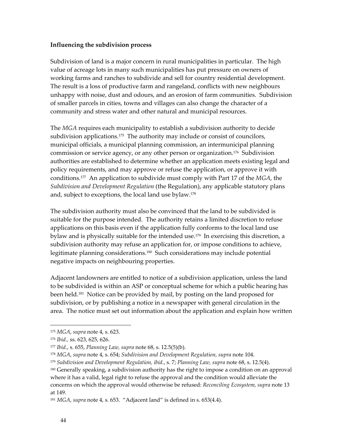#### **Influencing the subdivision process**

Subdivision of land is a major concern in rural municipalities in particular. The high value of acreage lots in many such municipalities has put pressure on owners of working farms and ranches to subdivide and sell for country residential development. The result is a loss of productive farm and rangeland, conflicts with new neighbours unhappy with noise, dust and odours, and an erosion of farm communities. Subdivision of smaller parcels in cities, towns and villages can also change the character of a community and stress water and other natural and municipal resources.

The *MGA* requires each municipality to establish a subdivision authority to decide subdivision applications.<sup>175</sup> The authority may include or consist of councilors, municipal officials, a municipal planning commission, an intermunicipal planning commission or service agency, or any other person or organization.<sup>176</sup> Subdivision authorities are established to determine whether an application meets existing legal and policy requirements, and may approve or refuse the application, or approve it with conditions.[177](#page-51-2) An application to subdivide must comply with Part 17 of the *MGA*, the *Subdivision and Development Regulation* (the Regulation), any applicable statutory plans and, subject to exceptions, the local land use bylaw.<sup>178</sup>

The subdivision authority must also be convinced that the land to be subdivided is suitable for the purpose intended. The authority retains a limited discretion to refuse applications on this basis even if the application fully conforms to the local land use bylaw and is physically suitable for the intended use.<sup>179</sup> In exercising this discretion, a subdivision authority may refuse an application for, or impose conditions to achieve, legitimate planning considerations.[180](#page-51-5) Such considerations may include potential negative impacts on neighbouring properties.

Adjacent landowners are entitled to notice of a subdivision application, unless the land to be subdivided is within an ASP or conceptual scheme for which a public hearing has been held[.181](#page-51-6) Notice can be provided by mail, by posting on the land proposed for subdivision, or by publishing a notice in a newspaper with general circulation in the area. The notice must set out information about the application and explain how written

<span id="page-51-0"></span><sup>175</sup> *MGA*, *supra* note 4, s. 623.

<span id="page-51-1"></span><sup>176</sup> *Ibid.,* ss. 623, 625, 626.

<span id="page-51-2"></span><sup>177</sup> *Ibid.*, s. 655, *Planning Law, supra* note 68, s. 12.5(5)(b).

<span id="page-51-3"></span><sup>178</sup> *MGA*, *supra* note 4, s. 654; *Subdivision and Development Regulation, supra* note 104.

<span id="page-51-4"></span><sup>179</sup> *Subdivision and Development Regulation, ibid.*, s. 7; *Planning Law, supra* note 68, s. 12.5(4).

<span id="page-51-5"></span><sup>&</sup>lt;sup>180</sup> Generally speaking, a subdivision authority has the right to impose a condition on an approval where it has a valid, legal right to refuse the approval and the condition would alleviate the concerns on which the approval would otherwise be refused: *Reconciling Ecosystem, supra* note 13 at 149.

<span id="page-51-6"></span><sup>181</sup> *MGA*, *supra* note 4, s. 653. "Adjacent land" is defined in s. 653(4.4).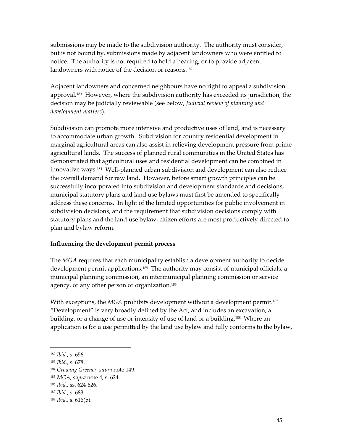submissions may be made to the subdivision authority. The authority must consider, but is not bound by, submissions made by adjacent landowners who were entitled to notice. The authority is not required to hold a hearing, or to provide adjacent landowners with notice of the decision or reasons.<sup>[182](#page-52-0)</sup>

Adjacent landowners and concerned neighbours have no right to appeal a subdivision approval.<sup>183</sup> However, where the subdivision authority has exceeded its jurisdiction, the decision may be judicially reviewable (see below, *Judicial review of planning and development matters*).

Subdivision can promote more intensive and productive uses of land, and is necessary to accommodate urban growth. Subdivision for country residential development in marginal agricultural areas can also assist in relieving development pressure from prime agricultural lands. The success of planned rural communities in the United States has demonstrated that agricultural uses and residential development can be combined in innovative ways.[184](#page-52-2) Well-planned urban subdivision and development can also reduce the overall demand for raw land. However, before smart growth principles can be successfully incorporated into subdivision and development standards and decisions, municipal statutory plans and land use bylaws must first be amended to specifically address these concerns. In light of the limited opportunities for public involvement in subdivision decisions, and the requirement that subdivision decisions comply with statutory plans and the land use bylaw, citizen efforts are most productively directed to plan and bylaw reform.

### **Influencing the development permit process**

The *MGA* requires that each municipality establish a development authority to decide development permit applications.<sup>185</sup> The authority may consist of municipal officials, a municipal planning commission, an intermunicipal planning commission or service agency, or any other person or organization.<sup>186</sup>

With exceptions, the *MGA* prohibits development without a development permit.<sup>187</sup> "Development" is very broadly defined by the Act, and includes an excavation, a building, or a change of use or intensity of use of land or a building.<sup>188</sup> Where an application is for a use permitted by the land use bylaw and fully conforms to the bylaw,

<span id="page-52-0"></span><sup>182</sup> *Ibid.*, s. 656.

<span id="page-52-1"></span><sup>183</sup> *Ibid.*, s. 678.

<span id="page-52-2"></span><sup>184</sup> *Growing Greener, supra* note 149.

<span id="page-52-3"></span><sup>185</sup> *MGA*, *supra* note 4, s. 624.

<span id="page-52-4"></span><sup>186</sup> *Ibid.*, ss. 624-626.

<span id="page-52-5"></span><sup>187</sup> *Ibid.*, s. 683.

<span id="page-52-6"></span><sup>188</sup> *Ibid.*, s. 616(b).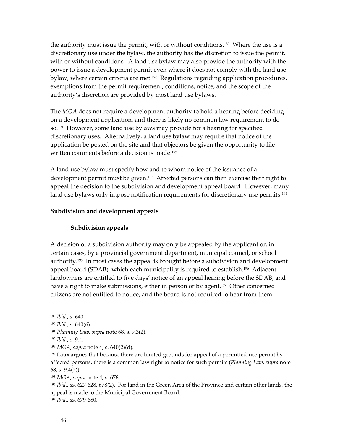the authority must issue the permit, with or without conditions.[189](#page-53-0) Where the use is a discretionary use under the bylaw, the authority has the discretion to issue the permit, with or without conditions. A land use bylaw may also provide the authority with the power to issue a development permit even where it does not comply with the land use bylaw, where certain criteria are met.<sup>190</sup> Regulations regarding application procedures, exemptions from the permit requirement, conditions, notice, and the scope of the authority's discretion are provided by most land use bylaws.

The *MGA* does not require a development authority to hold a hearing before deciding on a development application, and there is likely no common law requirement to do so.[191](#page-53-2) However, some land use bylaws may provide for a hearing for specified discretionary uses. Alternatively, a land use bylaw may require that notice of the application be posted on the site and that objectors be given the opportunity to file written comments before a decision is made.<sup>192</sup>

A land use bylaw must specify how and to whom notice of the issuance of a development permit must be given.<sup>193</sup> Affected persons can then exercise their right to appeal the decision to the subdivision and development appeal board. However, many land use bylaws only impose notification requirements for discretionary use permits.<sup>194</sup>

#### **Subdivision and development appeals**

#### **Subdivision appeals**

A decision of a subdivision authority may only be appealed by the applicant or, in certain cases, by a provincial government department, municipal council, or school authority[.195](#page-53-6) In most cases the appeal is brought before a subdivision and development appeal board (SDAB), which each municipality is required to establish.[196](#page-53-7) Adjacent landowners are entitled to five days' notice of an appeal hearing before the SDAB, and have a right to make submissions, either in person or by agent.<sup>197</sup> Other concerned citizens are not entitled to notice, and the board is not required to hear from them.

 $\overline{a}$ 

<span id="page-53-8"></span><sup>197</sup> *Ibid.,* ss. 679-680.

<span id="page-53-0"></span><sup>189</sup> *Ibid.*, s. 640.

<span id="page-53-1"></span><sup>190</sup> *Ibid.*, s. 640(6).

<span id="page-53-2"></span><sup>191</sup> *Planning Law, supra* note 68, s. 9.3(2).

<span id="page-53-3"></span><sup>192</sup> *Ibid.*, s. 9.4.

<span id="page-53-4"></span><sup>193</sup> *MGA*, *supra* note 4, s. 640(2)(d).

<span id="page-53-5"></span> $194$  Laux argues that because there are limited grounds for appeal of a permitted-use permit by affected persons, there is a common law right to notice for such permits (*Planning Law, supra* note 68, s. 9.4(2)).

<span id="page-53-6"></span><sup>195</sup> *MGA*, *supra* note 4, s. 678.

<span id="page-53-7"></span><sup>196</sup> *Ibid.,* ss. 627-628, 678(2). For land in the Green Area of the Province and certain other lands, the appeal is made to the Municipal Government Board.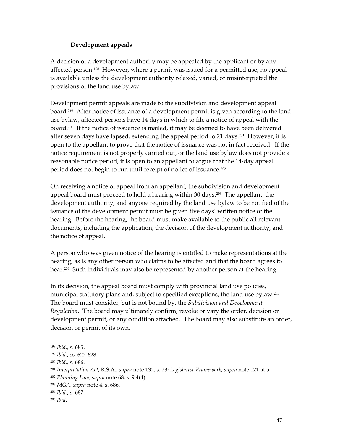### **Development appeals**

A decision of a development authority may be appealed by the applicant or by any affected person[.198](#page-54-0) However, where a permit was issued for a permitted use, no appeal is available unless the development authority relaxed, varied, or misinterpreted the provisions of the land use bylaw.

Development permit appeals are made to the subdivision and development appeal board.[199](#page-54-1) After notice of issuance of a development permit is given according to the land use bylaw, affected persons have 14 days in which to file a notice of appeal with the board.[200](#page-54-2) If the notice of issuance is mailed, it may be deemed to have been delivered after seven days have lapsed, extending the appeal period to 21 days.<sup>201</sup> However, it is open to the appellant to prove that the notice of issuance was not in fact received. If the notice requirement is not properly carried out, or the land use bylaw does not provide a reasonable notice period, it is open to an appellant to argue that the 14-day appeal period does not begin to run until receipt of notice of issuance.[202](#page-54-4)

On receiving a notice of appeal from an appellant, the subdivision and development appeal board must proceed to hold a hearing within 30 days. [203](#page-54-5) The appellant, the development authority, and anyone required by the land use bylaw to be notified of the issuance of the development permit must be given five days' written notice of the hearing. Before the hearing, the board must make available to the public all relevant documents, including the application, the decision of the development authority, and the notice of appeal.

A person who was given notice of the hearing is entitled to make representations at the hearing, as is any other person who claims to be affected and that the board agrees to hear.<sup>204</sup> Such individuals may also be represented by another person at the hearing.

In its decision, the appeal board must comply with provincial land use policies, municipal statutory plans and, subject to specified exceptions, the land use bylaw.[205](#page-54-7)  The board must consider, but is not bound by, the *Subdivision and Development Regulation*. The board may ultimately confirm, revoke or vary the order, decision or development permit, or any condition attached. The board may also substitute an order, decision or permit of its own.

<span id="page-54-0"></span><sup>198</sup> *Ibid.*, s. 685.

<span id="page-54-1"></span><sup>199</sup> *Ibid.*, ss. 627-628.

<span id="page-54-2"></span><sup>200</sup> *Ibid.,* s. 686.

<span id="page-54-3"></span><sup>201</sup> *Interpretation Act,* R.S.A., *supra* note 132, s. 23; *Legislative Framework, supra* note 121 at 5.

<span id="page-54-4"></span><sup>202</sup> *Planning Law, supra* note 68, s. 9.4(4).

<span id="page-54-5"></span><sup>203</sup> *MGA*, *supra* note 4, s. 686.

<span id="page-54-6"></span><sup>204</sup> *Ibid.*, s. 687.

<span id="page-54-7"></span><sup>205</sup> *Ibid*.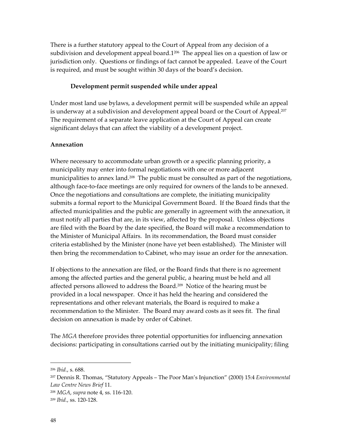There is a further statutory appeal to the Court of Appeal from any decision of a subdivision and development appeal board.1<sup>206</sup> The appeal lies on a question of law or jurisdiction only. Questions or findings of fact cannot be appealed. Leave of the Court is required, and must be sought within 30 days of the board's decision.

#### **Development permit suspended while under appeal**

Under most land use bylaws, a development permit will be suspended while an appeal is underway at a subdivision and development appeal board or the Court of Appeal.<sup>[20](#page-55-1)7</sup> The requirement of a separate leave application at the Court of Appeal can create significant delays that can affect the viability of a development project.

#### **Annexation**

Where necessary to accommodate urban growth or a specific planning priority, a municipality may enter into formal negotiations with one or more adjacent municipalities to annex land.<sup>[20](#page-55-2)8</sup> The public must be consulted as part of the negotiations, although face-to-face meetings are only required for owners of the lands to be annexed. Once the negotiations and consultations are complete, the initiating municipality submits a formal report to the Municipal Government Board. If the Board finds that the affected municipalities and the public are generally in agreement with the annexation, it must notify all parties that are, in its view, affected by the proposal. Unless objections are filed with the Board by the date specified, the Board will make a recommendation to the Minister of Municipal Affairs. In its recommendation, the Board must consider criteria established by the Minister (none have yet been established). The Minister will then bring the recommendation to Cabinet, who may issue an order for the annexation.

If objections to the annexation are filed, or the Board finds that there is no agreement among the affected parties and the general public, a hearing must be held and all affected persons allowed to address the Board.[20](#page-55-3)9 Notice of the hearing must be provided in a local newspaper. Once it has held the hearing and considered the representations and other relevant materials, the Board is required to make a recommendation to the Minister. The Board may award costs as it sees fit. The final decision on annexation is made by order of Cabinet.

The *MGA* therefore provides three potential opportunities for influencing annexation decisions: participating in consultations carried out by the initiating municipality; filing

<u>.</u>

<span id="page-55-0"></span><sup>206</sup> *Ibid.*, s. 688.

<span id="page-55-1"></span><sup>207</sup> Dennis R. Thomas, "Statutory Appeals – The Poor Man's Injunction" (2000) 15:4 *Environmental Law Centre News Brief* 11.

<span id="page-55-2"></span><sup>208</sup> *MGA*, *supra* note 4, ss. 116-120.

<span id="page-55-3"></span><sup>209</sup> *Ibid.*, ss. 120-128.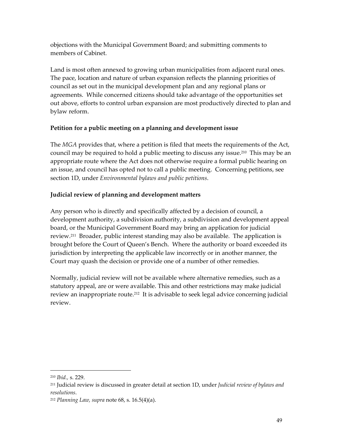objections with the Municipal Government Board; and submitting comments to members of Cabinet.

Land is most often annexed to growing urban municipalities from adjacent rural ones. The pace, location and nature of urban expansion reflects the planning priorities of council as set out in the municipal development plan and any regional plans or agreements. While concerned citizens should take advantage of the opportunities set out above, efforts to control urban expansion are most productively directed to plan and bylaw reform.

# **Petition for a public meeting on a planning and development issue**

The *MGA* provides that, where a petition is filed that meets the requirements of the Act, council may be required to hold a public meeting to discuss any issue.<sup>210</sup> This may be an appropriate route where the Act does not otherwise require a formal public hearing on an issue, and council has opted not to call a public meeting. Concerning petitions, see section 1D, under *Environmental bylaws and public petitions*.

# **Judicial review of planning and development matters**

Any person who is directly and specifically affected by a decision of council, a development authority, a subdivision authority, a subdivision and development appeal board, or the Municipal Government Board may bring an application for judicial review[.211](#page-56-1) Broader, public interest standing may also be available. The application is brought before the Court of Queen's Bench. Where the authority or board exceeded its jurisdiction by interpreting the applicable law incorrectly or in another manner, the Court may quash the decision or provide one of a number of other remedies.

Normally, judicial review will not be available where alternative remedies, such as a statutory appeal, are or were available. This and other restrictions may make judicial review an inappropriate route.<sup>212</sup> It is advisable to seek legal advice concerning judicial review.

<span id="page-56-0"></span><sup>210</sup> *Ibid.,* s. 229.

<span id="page-56-1"></span><sup>211</sup> Judicial review is discussed in greater detail at section 1D, under *Judicial review of bylaws and resolutions*.

<span id="page-56-2"></span><sup>212</sup> *Planning Law, supra* note 68, s. 16.5(4)(a).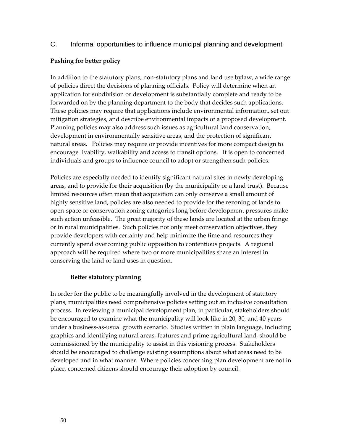# C. Informal opportunities to influence municipal planning and development

## **Pushing for better policy**

In addition to the statutory plans, non-statutory plans and land use bylaw, a wide range of policies direct the decisions of planning officials. Policy will determine when an application for subdivision or development is substantially complete and ready to be forwarded on by the planning department to the body that decides such applications. These policies may require that applications include environmental information, set out mitigation strategies, and describe environmental impacts of a proposed development. Planning policies may also address such issues as agricultural land conservation, development in environmentally sensitive areas, and the protection of significant natural areas. Policies may require or provide incentives for more compact design to encourage livability, walkability and access to transit options. It is open to concerned individuals and groups to influence council to adopt or strengthen such policies.

Policies are especially needed to identify significant natural sites in newly developing areas, and to provide for their acquisition (by the municipality or a land trust). Because limited resources often mean that acquisition can only conserve a small amount of highly sensitive land, policies are also needed to provide for the rezoning of lands to open-space or conservation zoning categories long before development pressures make such action unfeasible. The great majority of these lands are located at the urban fringe or in rural municipalities. Such policies not only meet conservation objectives, they provide developers with certainty and help minimize the time and resources they currently spend overcoming public opposition to contentious projects. A regional approach will be required where two or more municipalities share an interest in conserving the land or land uses in question.

# **Better statutory planning**

In order for the public to be meaningfully involved in the development of statutory plans, municipalities need comprehensive policies setting out an inclusive consultation process. In reviewing a municipal development plan, in particular, stakeholders should be encouraged to examine what the municipality will look like in 20, 30, and 40 years under a business-as-usual growth scenario. Studies written in plain language, including graphics and identifying natural areas, features and prime agricultural land, should be commissioned by the municipality to assist in this visioning process. Stakeholders should be encouraged to challenge existing assumptions about what areas need to be developed and in what manner. Where policies concerning plan development are not in place, concerned citizens should encourage their adoption by council.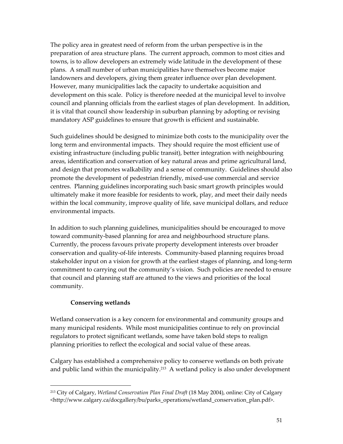The policy area in greatest need of reform from the urban perspective is in the preparation of area structure plans. The current approach, common to most cities and towns, is to allow developers an extremely wide latitude in the development of these plans. A small number of urban municipalities have themselves become major landowners and developers, giving them greater influence over plan development. However, many municipalities lack the capacity to undertake acquisition and development on this scale. Policy is therefore needed at the municipal level to involve council and planning officials from the earliest stages of plan development. In addition, it is vital that council show leadership in suburban planning by adopting or revising mandatory ASP guidelines to ensure that growth is efficient and sustainable.

Such guidelines should be designed to minimize both costs to the municipality over the long term and environmental impacts. They should require the most efficient use of existing infrastructure (including public transit), better integration with neighbouring areas, identification and conservation of key natural areas and prime agricultural land, and design that promotes walkability and a sense of community. Guidelines should also promote the development of pedestrian friendly, mixed-use commercial and service centres. Planning guidelines incorporating such basic smart growth principles would ultimately make it more feasible for residents to work, play, and meet their daily needs within the local community, improve quality of life, save municipal dollars, and reduce environmental impacts.

In addition to such planning guidelines, municipalities should be encouraged to move toward community-based planning for area and neighbourhood structure plans. Currently, the process favours private property development interests over broader conservation and quality-of-life interests. Community-based planning requires broad stakeholder input on a vision for growth at the earliest stages of planning, and long-term commitment to carrying out the community's vision. Such policies are needed to ensure that council and planning staff are attuned to the views and priorities of the local community.

### **Conserving wetlands**

 $\overline{a}$ 

Wetland conservation is a key concern for environmental and community groups and many municipal residents. While most municipalities continue to rely on provincial regulators to protect significant wetlands, some have taken bold steps to realign planning priorities to reflect the ecological and social value of these areas.

Calgary has established a comprehensive policy to conserve wetlands on both private and public land within the municipality.<sup>213</sup> A wetland policy is also under development

<span id="page-58-0"></span><sup>213</sup> City of Calgary, *Wetland Conservation Plan Final Draft* (18 May 2004), online: City of Calgary <http://www.calgary.ca/docgallery/bu/parks\_operations/wetland\_conservation\_plan.pdf>.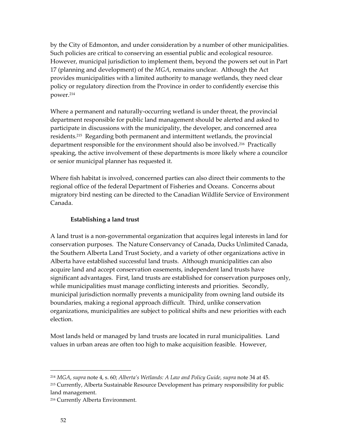by the City of Edmonton, and under consideration by a number of other municipalities. Such policies are critical to conserving an essential public and ecological resource. However, municipal jurisdiction to implement them, beyond the powers set out in Part 17 (planning and development) of the *MGA*, remains unclear. Although the Act provides municipalities with a limited authority to manage wetlands, they need clear policy or regulatory direction from the Province in order to confidently exercise this power.[214](#page-59-0)

Where a permanent and naturally-occurring wetland is under threat, the provincial department responsible for public land management should be alerted and asked to participate in discussions with the municipality, the developer, and concerned area residents.[215](#page-59-1) Regarding both permanent and intermittent wetlands, the provincial department responsible for the environment should also be involved.<sup>216</sup> Practically speaking, the active involvement of these departments is more likely where a councilor or senior municipal planner has requested it.

Where fish habitat is involved, concerned parties can also direct their comments to the regional office of the federal Department of Fisheries and Oceans. Concerns about migratory bird nesting can be directed to the Canadian Wildlife Service of Environment Canada.

### **Establishing a land trust**

A land trust is a non-governmental organization that acquires legal interests in land for conservation purposes. The Nature Conservancy of Canada, Ducks Unlimited Canada, the Southern Alberta Land Trust Society, and a variety of other organizations active in Alberta have established successful land trusts. Although municipalities can also acquire land and accept conservation easements, independent land trusts have significant advantages. First, land trusts are established for conservation purposes only, while municipalities must manage conflicting interests and priorities. Secondly, municipal jurisdiction normally prevents a municipality from owning land outside its boundaries, making a regional approach difficult. Third, unlike conservation organizations, municipalities are subject to political shifts and new priorities with each election.

Most lands held or managed by land trusts are located in rural municipalities. Land values in urban areas are often too high to make acquisition feasible. However,

<span id="page-59-1"></span><span id="page-59-0"></span><sup>214</sup> *MGA*, *supra* note 4, s. 60; *Alberta's Wetlands: A Law and Policy Guide, supra* note 34 at 45. <sup>215</sup> Currently, Alberta Sustainable Resource Development has primary responsibility for public land management.

<span id="page-59-2"></span><sup>216</sup> Currently Alberta Environment.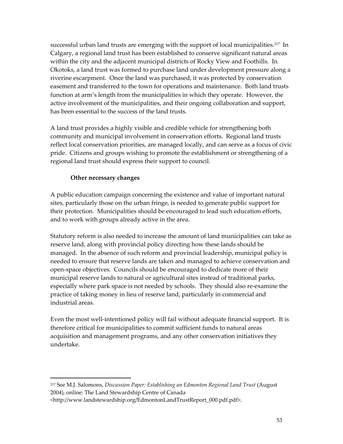successful urban land trusts are emerging with the support of local municipalities.<sup>217</sup> In Calgary, a regional land trust has been established to conserve significant natural areas within the city and the adjacent municipal districts of Rocky View and Foothills. In Okotoks, a land trust was formed to purchase land under development pressure along a riverine escarpment. Once the land was purchased, it was protected by conservation easement and transferred to the town for operations and maintenance. Both land trusts function at arm's length from the municipalities in which they operate. However, the active involvement of the municipalities, and their ongoing collaboration and support, has been essential to the success of the land trusts.

A land trust provides a highly visible and credible vehicle for strengthening both community and municipal involvement in conservation efforts. Regional land trusts reflect local conservation priorities, are managed locally, and can serve as a focus of civic pride. Citizens and groups wishing to promote the establishment or strengthening of a regional land trust should express their support to council.

### **Other necessary changes**

 $\overline{a}$ 

A public education campaign concerning the existence and value of important natural sites, particularly those on the urban fringe, is needed to generate public support for their protection. Municipalities should be encouraged to lead such education efforts, and to work with groups already active in the area.

Statutory reform is also needed to increase the amount of land municipalities can take as reserve land, along with provincial policy directing how these lands should be managed. In the absence of such reform and provincial leadership, municipal policy is needed to ensure that reserve lands are taken and managed to achieve conservation and open-space objectives. Councils should be encouraged to dedicate more of their municipal reserve lands to natural or agricultural sites instead of traditional parks, especially where park space is not needed by schools. They should also re-examine the practice of taking money in lieu of reserve land, particularly in commercial and industrial areas.

Even the most well-intentioned policy will fail without adequate financial support. It is therefore critical for municipalities to commit sufficient funds to natural areas acquisition and management programs, and any other conservation initiatives they undertake.

<span id="page-60-0"></span><sup>217</sup> See M.J. Salomons, *Discussion Paper: Establishing an Edmonton Regional Land Trust* (August 2004), online: The Land Stewardship Centre of Canada

<sup>&</sup>lt;http://www.landstewardship.org/EdmontonLandTrustReport\_000.pdf.pdf>.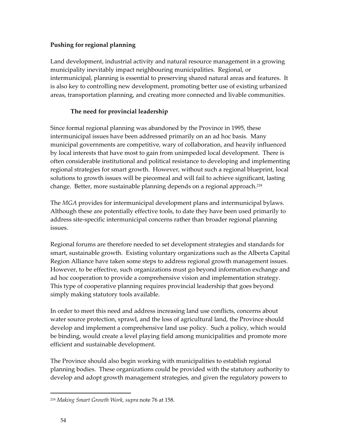# **Pushing for regional planning**

Land development, industrial activity and natural resource management in a growing municipality inevitably impact neighbouring municipalities. Regional, or intermunicipal, planning is essential to preserving shared natural areas and features. It is also key to controlling new development, promoting better use of existing urbanized areas, transportation planning, and creating more connected and livable communities.

# **The need for provincial leadership**

Since formal regional planning was abandoned by the Province in 1995, these intermunicipal issues have been addressed primarily on an ad hoc basis. Many municipal governments are competitive, wary of collaboration, and heavily influenced by local interests that have most to gain from unimpeded local development. There is often considerable institutional and political resistance to developing and implementing regional strategies for smart growth. However, without such a regional blueprint, local solutions to growth issues will be piecemeal and will fail to achieve significant, lasting change. Better, more sustainable planning depends on a regional approach.<sup>218</sup>

The *MGA* provides for intermunicipal development plans and intermunicipal bylaws. Although these are potentially effective tools, to date they have been used primarily to address site-specific intermunicipal concerns rather than broader regional planning issues.

Regional forums are therefore needed to set development strategies and standards for smart, sustainable growth. Existing voluntary organizations such as the Alberta Capital Region Alliance have taken some steps to address regional growth management issues. However, to be effective, such organizations must go beyond information exchange and ad hoc cooperation to provide a comprehensive vision and implementation strategy. This type of cooperative planning requires provincial leadership that goes beyond simply making statutory tools available.

In order to meet this need and address increasing land use conflicts, concerns about water source protection, sprawl, and the loss of agricultural land, the Province should develop and implement a comprehensive land use policy. Such a policy, which would be binding, would create a level playing field among municipalities and promote more efficient and sustainable development.

The Province should also begin working with municipalities to establish regional planning bodies. These organizations could be provided with the statutory authority to develop and adopt growth management strategies, and given the regulatory powers to

<span id="page-61-0"></span><sup>218</sup> *Making Smart Growth Work, supra* note 76 at 158.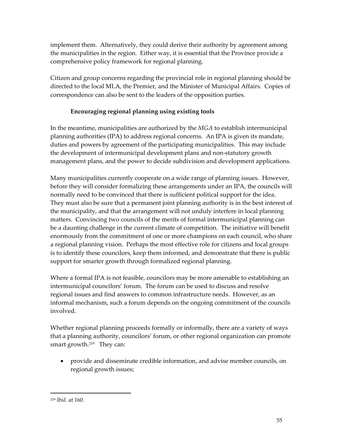implement them. Alternatively, they could derive their authority by agreement among the municipalities in the region. Either way, it is essential that the Province provide a comprehensive policy framework for regional planning.

Citizen and group concerns regarding the provincial role in regional planning should be directed to the local MLA, the Premier, and the Minister of Municipal Affairs. Copies of correspondence can also be sent to the leaders of the opposition parties.

# **Encouraging regional planning using existing tools**

In the meantime, municipalities are authorized by the *MGA* to establish intermunicipal planning authorities (IPA) to address regional concerns. An IPA is given its mandate, duties and powers by agreement of the participating municipalities. This may include the development of intermunicipal development plans and non-statutory growth management plans, and the power to decide subdivision and development applications.

Many municipalities currently cooperate on a wide range of planning issues. However, before they will consider formalizing these arrangements under an IPA, the councils will normally need to be convinced that there is sufficient political support for the idea. They must also be sure that a permanent joint planning authority is in the best interest of the municipality, and that the arrangement will not unduly interfere in local planning matters. Convincing two councils of the merits of formal intermunicipal planning can be a daunting challenge in the current climate of competition. The initiative will benefit enormously from the commitment of one or more champions on each council, who share a regional planning vision. Perhaps the most effective role for citizens and local groups is to identify these councilors, keep them informed, and demonstrate that there is public support for smarter growth through formalized regional planning.

Where a formal IPA is not feasible, councilors may be more amenable to establishing an intermunicipal councilors' forum. The forum can be used to discuss and resolve regional issues and find answers to common infrastructure needs. However, as an informal mechanism, such a forum depends on the ongoing commitment of the councils involved.

Whether regional planning proceeds formally or informally, there are a variety of ways that a planning authority, councilors' forum, or other regional organization can promote smart growth. [219](#page-62-0) They can:

• provide and disseminate credible information, and advise member councils, on regional growth issues;

<span id="page-62-0"></span><sup>219</sup> *Ibid.* at 160.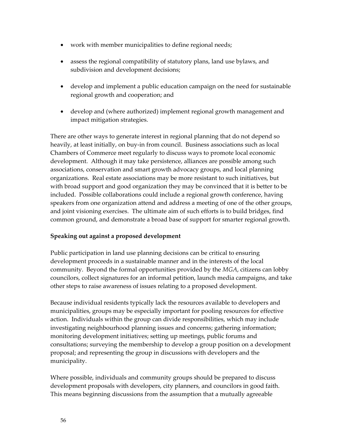- work with member municipalities to define regional needs;
- assess the regional compatibility of statutory plans, land use bylaws, and subdivision and development decisions;
- develop and implement a public education campaign on the need for sustainable regional growth and cooperation; and
- develop and (where authorized) implement regional growth management and impact mitigation strategies.

There are other ways to generate interest in regional planning that do not depend so heavily, at least initially, on buy-in from council. Business associations such as local Chambers of Commerce meet regularly to discuss ways to promote local economic development. Although it may take persistence, alliances are possible among such associations, conservation and smart growth advocacy groups, and local planning organizations. Real estate associations may be more resistant to such initiatives, but with broad support and good organization they may be convinced that it is better to be included. Possible collaborations could include a regional growth conference, having speakers from one organization attend and address a meeting of one of the other groups, and joint visioning exercises. The ultimate aim of such efforts is to build bridges, find common ground, and demonstrate a broad base of support for smarter regional growth.

### **Speaking out against a proposed development**

Public participation in land use planning decisions can be critical to ensuring development proceeds in a sustainable manner and in the interests of the local community. Beyond the formal opportunities provided by the *MGA*, citizens can lobby councilors, collect signatures for an informal petition, launch media campaigns, and take other steps to raise awareness of issues relating to a proposed development.

Because individual residents typically lack the resources available to developers and municipalities, groups may be especially important for pooling resources for effective action. Individuals within the group can divide responsibilities, which may include investigating neighbourhood planning issues and concerns; gathering information; monitoring development initiatives; setting up meetings, public forums and consultations; surveying the membership to develop a group position on a development proposal; and representing the group in discussions with developers and the municipality.

Where possible, individuals and community groups should be prepared to discuss development proposals with developers, city planners, and councilors in good faith. This means beginning discussions from the assumption that a mutually agreeable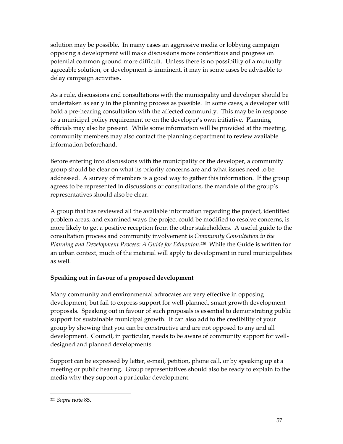solution may be possible. In many cases an aggressive media or lobbying campaign opposing a development will make discussions more contentious and progress on potential common ground more difficult. Unless there is no possibility of a mutually agreeable solution, or development is imminent, it may in some cases be advisable to delay campaign activities.

As a rule, discussions and consultations with the municipality and developer should be undertaken as early in the planning process as possible. In some cases, a developer will hold a pre-hearing consultation with the affected community. This may be in response to a municipal policy requirement or on the developer's own initiative. Planning officials may also be present. While some information will be provided at the meeting, community members may also contact the planning department to review available information beforehand.

Before entering into discussions with the municipality or the developer, a community group should be clear on what its priority concerns are and what issues need to be addressed. A survey of members is a good way to gather this information. If the group agrees to be represented in discussions or consultations, the mandate of the group's representatives should also be clear.

A group that has reviewed all the available information regarding the project, identified problem areas, and examined ways the project could be modified to resolve concerns, is more likely to get a positive reception from the other stakeholders. A useful guide to the consultation process and community involvement is *Community Consultation in the Planning and Development Process: A Guide for Edmonton.*[220](#page-64-0) While the Guide is written for an urban context, much of the material will apply to development in rural municipalities as well.

# **Speaking out in favour of a proposed development**

Many community and environmental advocates are very effective in opposing development, but fail to express support for well-planned, smart growth development proposals. Speaking out in favour of such proposals is essential to demonstrating public support for sustainable municipal growth. It can also add to the credibility of your group by showing that you can be constructive and are not opposed to any and all development. Council, in particular, needs to be aware of community support for welldesigned and planned developments.

Support can be expressed by letter, e-mail, petition, phone call, or by speaking up at a meeting or public hearing. Group representatives should also be ready to explain to the media why they support a particular development.

<span id="page-64-0"></span><sup>220</sup> *Supra* note 85.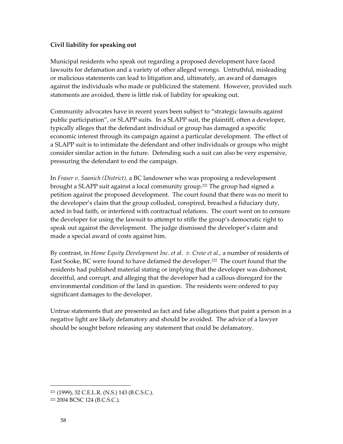## **Civil liability for speaking out**

Municipal residents who speak out regarding a proposed development have faced lawsuits for defamation and a variety of other alleged wrongs. Untruthful, misleading or malicious statements can lead to litigation and, ultimately, an award of damages against the individuals who made or publicized the statement. However, provided such statements are avoided, there is little risk of liability for speaking out.

Community advocates have in recent years been subject to "strategic lawsuits against public participation", or SLAPP suits. In a SLAPP suit, the plaintiff, often a developer, typically alleges that the defendant individual or group has damaged a specific economic interest through its campaign against a particular development. The effect of a SLAPP suit is to intimidate the defendant and other individuals or groups who might consider similar action in the future. Defending such a suit can also be very expensive, pressuring the defendant to end the campaign.

In *Fraser v. Saanich (District),* a BC landowner who was proposing a redevelopment brought a SLAPP suit against a local community group.<sup>221</sup> The group had signed a petition against the proposed development. The court found that there was no merit to the developer's claim that the group colluded, conspired, breached a fiduciary duty, acted in bad faith, or interfered with contractual relations. The court went on to censure the developer for using the lawsuit to attempt to stifle the group's democratic right to speak out against the development. The judge dismissed the developer's claim and made a special award of costs against him.

By contrast, in *Home Equity Development Inc. et al. v. Crow et al.,* a number of residents of East Sooke, BC were found to have defamed the developer.[222](#page-65-1) The court found that the residents had published material stating or implying that the developer was dishonest, deceitful, and corrupt, and alleging that the developer had a callous disregard for the environmental condition of the land in question. The residents were ordered to pay significant damages to the developer.

Untrue statements that are presented as fact and false allegations that paint a person in a negative light are likely defamatory and should be avoided. The advice of a lawyer should be sought before releasing any statement that could be defamatory.

<span id="page-65-0"></span><sup>221 (1999), 32</sup> C.E.L.R. (N.S.) 143 (B.C.S.C.).

<span id="page-65-1"></span><sup>222</sup> 2004 BCSC 124 (B.C.S.C.).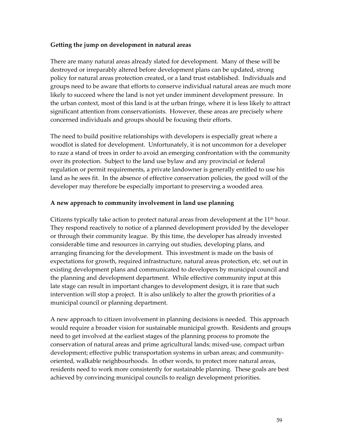### **Getting the jump on development in natural areas**

There are many natural areas already slated for development. Many of these will be destroyed or irreparably altered before development plans can be updated, strong policy for natural areas protection created, or a land trust established. Individuals and groups need to be aware that efforts to conserve individual natural areas are much more likely to succeed where the land is not yet under imminent development pressure. In the urban context, most of this land is at the urban fringe, where it is less likely to attract significant attention from conservationists. However, these areas are precisely where concerned individuals and groups should be focusing their efforts.

The need to build positive relationships with developers is especially great where a woodlot is slated for development. Unfortunately, it is not uncommon for a developer to raze a stand of trees in order to avoid an emerging confrontation with the community over its protection. Subject to the land use bylaw and any provincial or federal regulation or permit requirements, a private landowner is generally entitled to use his land as he sees fit. In the absence of effective conservation policies, the good will of the developer may therefore be especially important to preserving a wooded area.

### **A new approach to community involvement in land use planning**

Citizens typically take action to protect natural areas from development at the  $11<sup>th</sup>$  hour. They respond reactively to notice of a planned development provided by the developer or through their community league. By this time, the developer has already invested considerable time and resources in carrying out studies, developing plans, and arranging financing for the development. This investment is made on the basis of expectations for growth, required infrastructure, natural areas protection, etc. set out in existing development plans and communicated to developers by municipal council and the planning and development department. While effective community input at this late stage can result in important changes to development design, it is rare that such intervention will stop a project. It is also unlikely to alter the growth priorities of a municipal council or planning department.

A new approach to citizen involvement in planning decisions is needed. This approach would require a broader vision for sustainable municipal growth. Residents and groups need to get involved at the earliest stages of the planning process to promote the conservation of natural areas and prime agricultural lands; mixed-use, compact urban development; effective public transportation systems in urban areas; and communityoriented, walkable neighbourhoods. In other words, to protect more natural areas, residents need to work more consistently for sustainable planning. These goals are best achieved by convincing municipal councils to realign development priorities.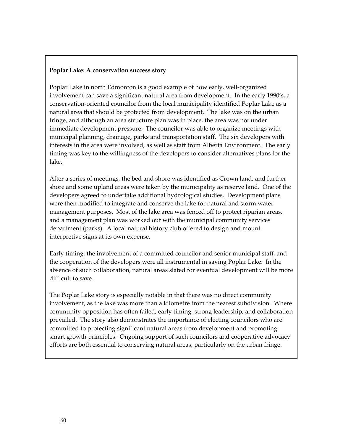#### **Poplar Lake: A conservation success story**

Poplar Lake in north Edmonton is a good example of how early, well-organized involvement can save a significant natural area from development. In the early 1990's, a conservation-oriented councilor from the local municipality identified Poplar Lake as a natural area that should be protected from development. The lake was on the urban fringe, and although an area structure plan was in place, the area was not under immediate development pressure. The councilor was able to organize meetings with municipal planning, drainage, parks and transportation staff. The six developers with interests in the area were involved, as well as staff from Alberta Environment. The early timing was key to the willingness of the developers to consider alternatives plans for the lake.

After a series of meetings, the bed and shore was identified as Crown land, and further shore and some upland areas were taken by the municipality as reserve land. One of the developers agreed to undertake additional hydrological studies. Development plans were then modified to integrate and conserve the lake for natural and storm water management purposes. Most of the lake area was fenced off to protect riparian areas, and a management plan was worked out with the municipal community services department (parks). A local natural history club offered to design and mount interpretive signs at its own expense.

Early timing, the involvement of a committed councilor and senior municipal staff, and the cooperation of the developers were all instrumental in saving Poplar Lake. In the absence of such collaboration, natural areas slated for eventual development will be more difficult to save.

The Poplar Lake story is especially notable in that there was no direct community involvement, as the lake was more than a kilometre from the nearest subdivision. Where community opposition has often failed, early timing, strong leadership, and collaboration prevailed. The story also demonstrates the importance of electing councilors who are committed to protecting significant natural areas from development and promoting smart growth principles. Ongoing support of such councilors and cooperative advocacy efforts are both essential to conserving natural areas, particularly on the urban fringe.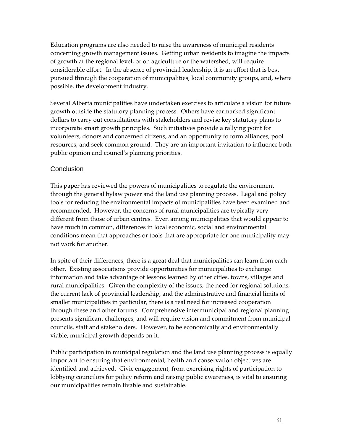Education programs are also needed to raise the awareness of municipal residents concerning growth management issues. Getting urban residents to imagine the impacts of growth at the regional level, or on agriculture or the watershed, will require considerable effort. In the absence of provincial leadership, it is an effort that is best pursued through the cooperation of municipalities, local community groups, and, where possible, the development industry.

Several Alberta municipalities have undertaken exercises to articulate a vision for future growth outside the statutory planning process. Others have earmarked significant dollars to carry out consultations with stakeholders and revise key statutory plans to incorporate smart growth principles. Such initiatives provide a rallying point for volunteers, donors and concerned citizens, and an opportunity to form alliances, pool resources, and seek common ground. They are an important invitation to influence both public opinion and council's planning priorities.

### **Conclusion**

This paper has reviewed the powers of municipalities to regulate the environment through the general bylaw power and the land use planning process. Legal and policy tools for reducing the environmental impacts of municipalities have been examined and recommended. However, the concerns of rural municipalities are typically very different from those of urban centres. Even among municipalities that would appear to have much in common, differences in local economic, social and environmental conditions mean that approaches or tools that are appropriate for one municipality may not work for another.

In spite of their differences, there is a great deal that municipalities can learn from each other. Existing associations provide opportunities for municipalities to exchange information and take advantage of lessons learned by other cities, towns, villages and rural municipalities. Given the complexity of the issues, the need for regional solutions, the current lack of provincial leadership, and the administrative and financial limits of smaller municipalities in particular, there is a real need for increased cooperation through these and other forums. Comprehensive intermunicipal and regional planning presents significant challenges, and will require vision and commitment from municipal councils, staff and stakeholders. However, to be economically and environmentally viable, municipal growth depends on it.

Public participation in municipal regulation and the land use planning process is equally important to ensuring that environmental, health and conservation objectives are identified and achieved. Civic engagement, from exercising rights of participation to lobbying councilors for policy reform and raising public awareness, is vital to ensuring our municipalities remain livable and sustainable.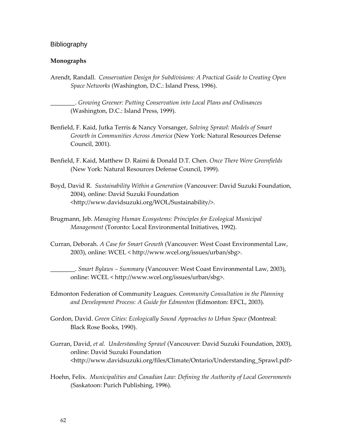#### **Bibliography**

#### **Monographs**

Arendt, Randall. *Conservation Design for Subdivisions: A Practical Guide to Creating Open Space Networks* (Washington, D.C.: Island Press, 1996).

\_\_\_\_\_\_\_\_. *Growing Greener: Putting Conservation into Local Plans and Ordinances* (Washington, D.C.: Island Press, 1999).

- Benfield, F. Kaid, Jutka Terris & Nancy Vorsanger, *Solving Sprawl: Models of Smart Growth in Communities Across America* (New York: Natural Resources Defense Council, 2001).
- Benfield, F. Kaid, Matthew D. Raimi & Donald D.T. Chen. *Once There Were Greenfields* (New York: Natural Resources Defense Council, 1999).
- Boyd, David R. *Sustainability Within a Generation* (Vancouver: David Suzuki Foundation, 2004), online: David Suzuki Foundation <http://www.davidsuzuki.org/WOL/Sustainability/>.
- Brugmann, Jeb. *Managing Human Ecosystems: Principles for Ecological Municipal Management* (Toronto: Local Environmental Initiatives, 1992).
- Curran, Deborah. *A Case for Smart Growth* (Vancouver: West Coast Environmental Law, 2003), online: WCEL < http://www.wcel.org/issues/urban/sbg>.

\_\_\_\_\_\_\_\_. *Smart Bylaws – Summary* (Vancouver: West Coast Environmental Law, 2003), online: WCEL < http://www.wcel.org/issues/urban/sbg>.

- Edmonton Federation of Community Leagues. *Community Consultation in the Planning and Development Process: A Guide for Edmonton* (Edmonton: EFCL, 2003).
- Gordon, David. *Green Cities: Ecologically Sound Approaches to Urban Space* (Montreal: Black Rose Books, 1990).
- Gurran, David, *et al. Understanding Sprawl* (Vancouver: David Suzuki Foundation, 2003), online: David Suzuki Foundation <http://www.davidsuzuki.org/files/Climate/Ontario/Understanding\_Sprawl.pdf>
- Hoehn, Felix. *Municipalities and Canadian Law: Defining the Authority of Local Governments* (Saskatoon: Purich Publishing, 1996).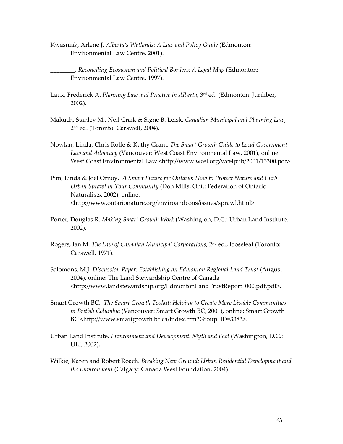Kwasniak, Arlene J. *Alberta's Wetlands: A Law and Policy Guide* (Edmonton: Environmental Law Centre, 2001).

\_\_\_\_\_\_\_\_. *Reconciling Ecosystem and Political Borders: A Legal Map* (Edmonton: Environmental Law Centre, 1997).

- Laux, Frederick A. *Planning Law and Practice in Alberta,* 3rd ed. (Edmonton: Juriliber, 2002).
- Makuch, Stanley M., Neil Craik & Signe B. Leisk, *Canadian Municipal and Planning Law*, 2nd ed. (Toronto: Carswell, 2004).
- Nowlan, Linda, Chris Rolfe & Kathy Grant, *The Smart Growth Guide to Local Government Law and Advocacy* (Vancouver: West Coast Environmental Law, 2001), online: West Coast Environmental Law <http://www.wcel.org/wcelpub/2001/13300.pdf>.
- Pim, Linda & Joel Ornoy. *A Smart Future for Ontario: How to Protect Nature and Curb Urban Sprawl in Your Community* (Don Mills, Ont.: Federation of Ontario Naturalists, 2002), online: <http://www.ontarionature.org/enviroandcons/issues/sprawl.html>.
- Porter, Douglas R. *Making Smart Growth Work* (Washington, D.C.: Urban Land Institute, 2002).
- Rogers, Ian M. *The Law of Canadian Municipal Corporations*, 2nd ed., looseleaf (Toronto: Carswell, 1971).
- Salomons, M.J. *Discussion Paper: Establishing an Edmonton Regional Land Trust* (August 2004), online: The Land Stewardship Centre of Canada <http://www.landstewardship.org/EdmontonLandTrustReport\_000.pdf.pdf>.
- Smart Growth BC. *The Smart Growth Toolkit: Helping to Create More Livable Communities in British Columbia* (Vancouver: Smart Growth BC, 2001), online: Smart Growth BC <http://www.smartgrowth.bc.ca/index.cfm?Group\_ID=3383>.
- Urban Land Institute. *Environment and Development: Myth and Fact* (Washington, D.C.: ULI, 2002).
- Wilkie, Karen and Robert Roach. *Breaking New Ground: Urban Residential Development and the Environment* (Calgary: Canada West Foundation, 2004).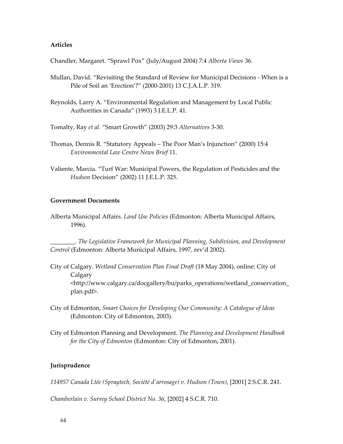#### **Articles**

Chandler, Margaret. "Sprawl Pox" (July/August 2004) 7:4 *Alberta Views* 36.

- Mullan, David. "Revisiting the Standard of Review for Municipal Decisions When is a Pile of Soil an 'Erection'?" (2000-2001) 13 C.J.A.L.P. 319.
- Reynolds, Larry A. "Environmental Regulation and Management by Local Public Authorities in Canada" (1993) 3 J.E.L.P. 41.

Tomalty, Ray *et al.* "Smart Growth" (2003) 29:3 *Alternatives* 3-30.

- Thomas, Dennis R. "Statutory Appeals The Poor Man's Injunction" (2000) 15:4 *Environmental Law Centre News Brief* 11.
- Valiente, Marcia. "Turf War: Municipal Powers, the Regulation of Pesticides and the *Hudson* Decision" (2002) 11 J.E.L.P. 325.

#### **Government Documents**

Alberta Municipal Affairs. *Land Use Policies* (Edmonton: Alberta Municipal Affairs, 1996).

\_\_\_\_\_\_\_\_. *The Legislative Framework for Municipal Planning, Subdivision, and Development Control* (Edmonton: Alberta Municipal Affairs, 1997, rev'd 2002).

- City of Calgary. *Wetland Conservation Plan Final Draft* (18 May 2004), online: City of Calgary <http://www.calgary.ca/docgallery/bu/parks\_operations/wetland\_conservation\_ plan.pdf>.
- City of Edmonton, *Smart Choices for Developing Our Community: A Catalogue of Ideas* (Edmonton: City of Edmonton, 2003).
- City of Edmonton Planning and Development. *The Planning and Development Handbook for the City of Edmonton* (Edmonton: City of Edmonton, 2001).

### **Jurisprudence**

*114957 Canada Ltée (Spraytech, Société d'arrosage) v. Hudson (Town),* [2001] 2 S.C.R. 241.

*Chamberlain v. Surrey School District No. 36*, [2002] 4 S.C.R. 710.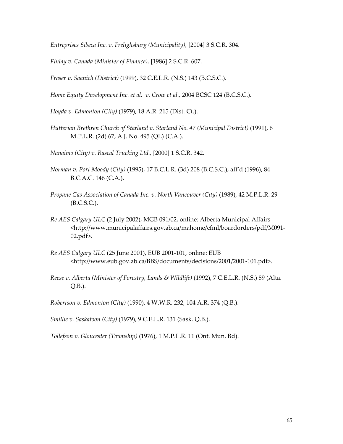*Entreprises Sibeca Inc. v. Frelighsburg (Municipality),* [2004] 3 S.C.R. 304.

*Finlay v. Canada (Minister of Finance),* [1986] 2 S.C.R. 607.

*Fraser v. Saanich (District)* (1999), 32 C.E.L.R. (N.S.) 143 (B.C.S.C.).

*Home Equity Development Inc. et al. v. Crow et al.,* 2004 BCSC 124 (B.C.S.C.).

*Hoyda v. Edmonton (City)* (1979), 18 A.R. 215 (Dist. Ct.).

- *Hutterian Brethren Church of Starland v. Starland No. 47 (Municipal District)* (1991), 6 M.P.L.R. (2d) 67, A.J. No. 495 (QL) (C.A.).
- *Nanaimo (City) v. Rascal Trucking Ltd.,* [2000] 1 S.C.R. 342.
- *Norman v. Port Moody (City)* (1995), 17 B.C.L.R. (3d) 208 (B.C.S.C.), aff'd (1996), 84 B.C.A.C. 146 (C.A.).
- *Propane Gas Association of Canada Inc. v. North Vancouver (City)* (1989), 42 M.P.L.R. 29 (B.C.S.C.).
- *Re AES Calgary ULC* (2 July 2002), MGB 091/02, online: Alberta Municipal Affairs <http://www.municipalaffairs.gov.ab.ca/mahome/cfml/boardorders/pdf/M091- 02.pdf>.
- *Re AES Calgary ULC* (25 June 2001), EUB 2001-101, online: EUB <http://www.eub.gov.ab.ca/BBS/documents/decisions/2001/2001-101.pdf>.
- *Reese v. Alberta (Minister of Forestry, Lands & Wildlife)* (1992), 7 C.E.L.R. (N.S.) 89 (Alta. Q.B.).

*Robertson v. Edmonton (City)* (1990), 4 W.W.R. 232, 104 A.R. 374 (Q.B.).

*Smillie v. Saskatoon (City)* (1979), 9 C.E.L.R. 131 (Sask. Q.B.).

*Tollefson v. Gloucester (Township)* (1976), 1 M.P.L.R. 11 (Ont. Mun. Bd).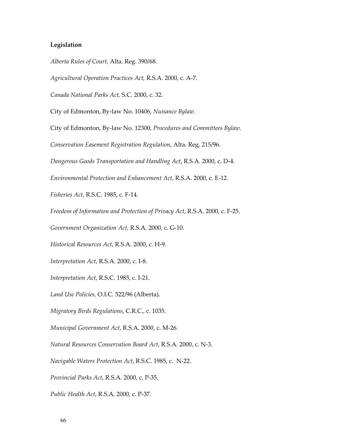## **Legislation**

*Alberta Rules of Court,* Alta. Reg. 390/68.

*Agricultural Operation Practices Act,* R.S.A. 2000, c. A-7.

*Canada National Parks Act,* S.C. 2000, c. 32.

City of Edmonton, By-law No. 10406, *Nuisance Bylaw.* 

City of Edmonton, By-law No. 12300, *Procedures and Committees Bylaw.* 

*Conservation Easement Registration Regulation*, Alta. Reg. 215/96.

*Dangerous Goods Transportation and Handling Act*, R.S.A. 2000, c. D-4.

*Environmental Protection and Enhancement Act,* R.S.A. 2000, c. E-12.

*Fisheries Act*, R.S.C. 1985, c. F-14.

*Freedom of Information and Protection of Privacy Act*, R.S.A. 2000, c. F-25.

*Government Organization Act,* R.S.A. 2000, c. G-10.

*Historical Resources Act*, R.S.A. 2000, c. H-9.

*Interpretation Act*, R.S.A. 2000, c. I-8.

*Interpretation Act*, R.S.C. 1985, c. I-21.

*Land Use Policies,* O.I.C. 522/96 (Alberta).

*Migratory Birds Regulations*, C.R.C., c. 1035.

*Municipal Government Act*, R.S.A. 2000, c. M-26.

*Natural Resources Conservation Board Act*, R.S.A. 2000, c. N-3.

*Navigable Waters Protection Act*, R.S.C. 1985, c. N-22.

*Provincial Parks Act*, R.S.A. 2000, c. P-35.

*Public Health Act*, R.S.A. 2000, c. P-37.